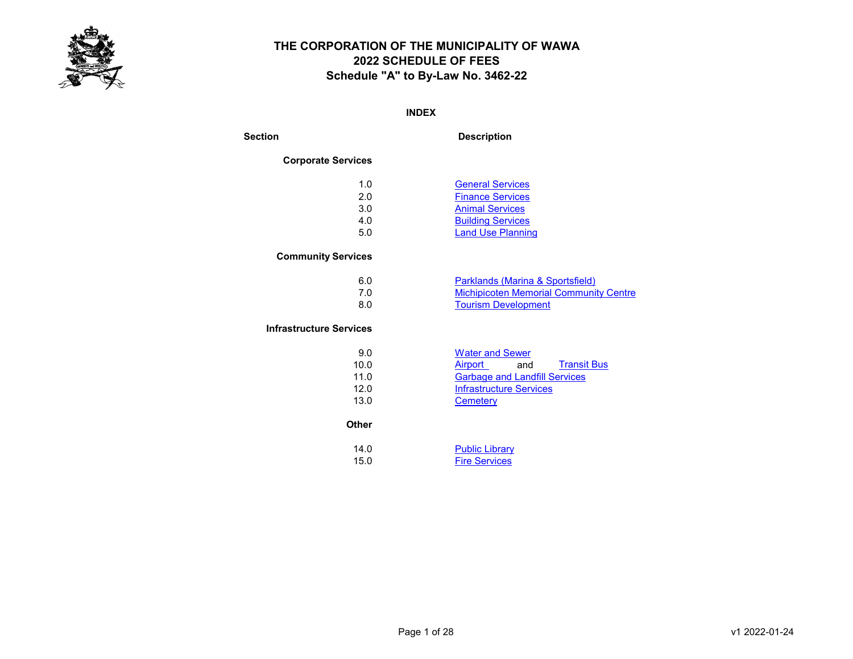

#### INDEX

Section Description

#### Corporate Services

| 1.0 | <b>General Services</b>  |
|-----|--------------------------|
| 2.0 | <b>Finance Services</b>  |
| 3.0 | <b>Animal Services</b>   |
| 4.0 | <b>Building Services</b> |
| 5.0 | <b>Land Use Planning</b> |

#### Community Services

| 6.0 | <b>Parklands (Marina &amp; Sportsfield)</b>   |
|-----|-----------------------------------------------|
|     | <b>Michipicoten Memorial Community Centre</b> |
|     | <b>Tourism Development</b>                    |

#### Infrastructure Services

| 9.0  | <b>Water and Sewer</b>               |
|------|--------------------------------------|
| 10.0 | <b>Transit Bus</b><br>Airport<br>and |
| 11.0 | <b>Garbage and Landfill Services</b> |
| 12.0 | Infrastructure Services              |
| 13.0 | Cemetery                             |

#### **Other**

| 14.0 | <b>Public Library</b> |
|------|-----------------------|
| 15.0 | <b>Fire Services</b>  |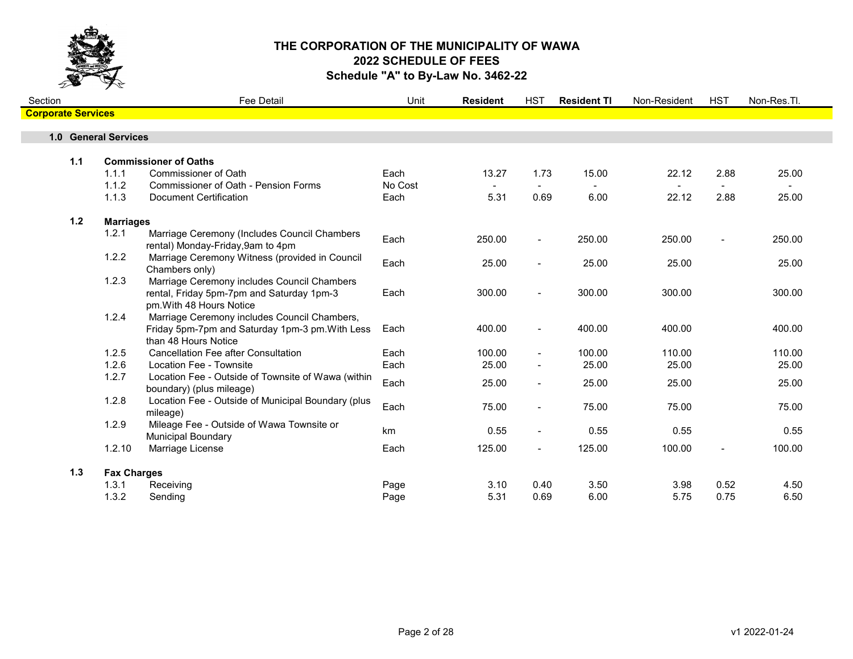

| Section                   |       |                      | Fee Detail                                                                                                              | Unit    | <b>Resident</b> | <b>HST</b>               | <b>Resident TI</b> | Non-Resident | <b>HST</b>     | Non-Res.Tl. |
|---------------------------|-------|----------------------|-------------------------------------------------------------------------------------------------------------------------|---------|-----------------|--------------------------|--------------------|--------------|----------------|-------------|
| <b>Corporate Services</b> |       |                      |                                                                                                                         |         |                 |                          |                    |              |                |             |
|                           |       | 1.0 General Services |                                                                                                                         |         |                 |                          |                    |              |                |             |
|                           |       |                      |                                                                                                                         |         |                 |                          |                    |              |                |             |
|                           | 1.1   |                      | <b>Commissioner of Oaths</b>                                                                                            |         |                 |                          |                    |              |                |             |
|                           |       | 1.1.1                | Commissioner of Oath                                                                                                    | Each    | 13.27           | 1.73                     | 15.00              | 22.12        | 2.88           | 25.00       |
|                           |       | 1.1.2                | Commissioner of Oath - Pension Forms                                                                                    | No Cost |                 |                          |                    |              |                |             |
|                           |       | 1.1.3                | <b>Document Certification</b>                                                                                           | Each    | 5.31            | 0.69                     | 6.00               | 22.12        | 2.88           | 25.00       |
|                           | $1.2$ | <b>Marriages</b>     |                                                                                                                         |         |                 |                          |                    |              |                |             |
|                           |       | 1.2.1                | Marriage Ceremony (Includes Council Chambers<br>rental) Monday-Friday, 9am to 4pm                                       | Each    | 250.00          | $\overline{\phantom{a}}$ | 250.00             | 250.00       |                | 250.00      |
|                           |       | 1.2.2                | Marriage Ceremony Witness (provided in Council<br>Chambers only)                                                        | Each    | 25.00           | $\blacksquare$           | 25.00              | 25.00        |                | 25.00       |
|                           |       | 1.2.3                | Marriage Ceremony includes Council Chambers<br>rental, Friday 5pm-7pm and Saturday 1pm-3<br>pm. With 48 Hours Notice    | Each    | 300.00          | $\blacksquare$           | 300.00             | 300.00       |                | 300.00      |
|                           |       | 1.2.4                | Marriage Ceremony includes Council Chambers,<br>Friday 5pm-7pm and Saturday 1pm-3 pm. With Less<br>than 48 Hours Notice | Each    | 400.00          | $\blacksquare$           | 400.00             | 400.00       |                | 400.00      |
|                           |       | 1.2.5                | <b>Cancellation Fee after Consultation</b>                                                                              | Each    | 100.00          | $\blacksquare$           | 100.00             | 110.00       |                | 110.00      |
|                           |       | 1.2.6                | Location Fee - Townsite                                                                                                 | Each    | 25.00           | $\blacksquare$           | 25.00              | 25.00        |                | 25.00       |
|                           |       | 1.2.7                | Location Fee - Outside of Townsite of Wawa (within<br>boundary) (plus mileage)                                          | Each    | 25.00           | $\blacksquare$           | 25.00              | 25.00        |                | 25.00       |
|                           |       | 1.2.8                | Location Fee - Outside of Municipal Boundary (plus<br>mileage)                                                          | Each    | 75.00           | $\blacksquare$           | 75.00              | 75.00        |                | 75.00       |
|                           |       | 1.2.9                | Mileage Fee - Outside of Wawa Townsite or<br><b>Municipal Boundary</b>                                                  | km      | 0.55            | $\blacksquare$           | 0.55               | 0.55         |                | 0.55        |
|                           |       | 1.2.10               | Marriage License                                                                                                        | Each    | 125.00          | $\overline{\phantom{0}}$ | 125.00             | 100.00       | $\blacksquare$ | 100.00      |
|                           | 1.3   | <b>Fax Charges</b>   |                                                                                                                         |         |                 |                          |                    |              |                |             |
|                           |       | 1.3.1                | Receiving                                                                                                               | Page    | 3.10            | 0.40                     | 3.50               | 3.98         | 0.52           | 4.50        |
|                           |       | 1.3.2                | Sending                                                                                                                 | Page    | 5.31            | 0.69                     | 6.00               | 5.75         | 0.75           | 6.50        |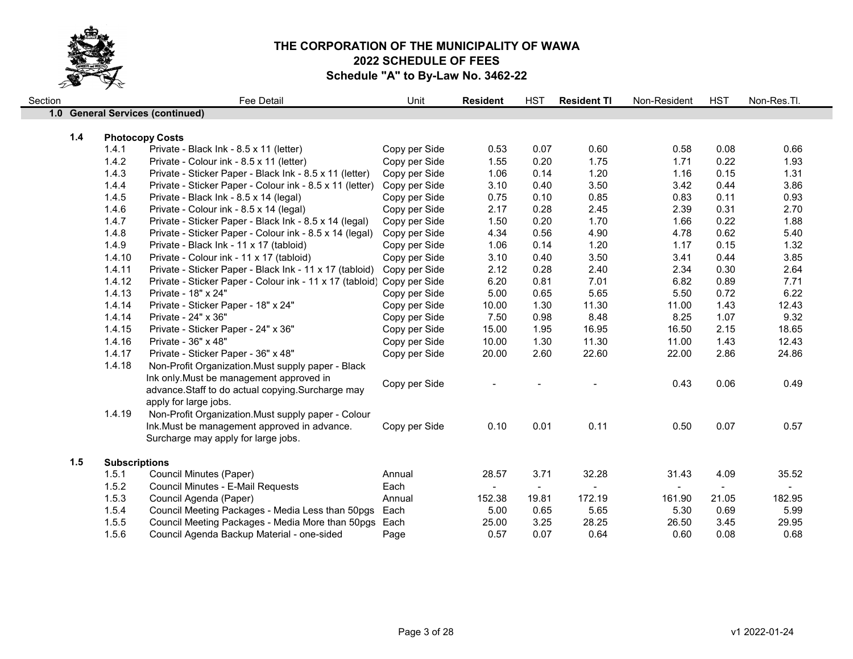

| Section |       |                      | Fee Detail                                                             | Unit          | <b>Resident</b> | <b>HST</b>   | <b>Resident TI</b> | Non-Resident   | <b>HST</b>   | Non-Res.Tl.  |
|---------|-------|----------------------|------------------------------------------------------------------------|---------------|-----------------|--------------|--------------------|----------------|--------------|--------------|
|         |       |                      | 1.0 General Services (continued)                                       |               |                 |              |                    |                |              |              |
|         |       |                      |                                                                        |               |                 |              |                    |                |              |              |
|         | $1.4$ |                      | <b>Photocopy Costs</b>                                                 |               |                 |              |                    |                |              |              |
|         |       | 1.4.1<br>1.4.2       | Private - Black Ink - 8.5 x 11 (letter)                                | Copy per Side | 0.53<br>1.55    | 0.07<br>0.20 | 0.60<br>1.75       | 0.58<br>1.71   | 0.08<br>0.22 | 0.66<br>1.93 |
|         |       |                      | Private - Colour ink - 8.5 x 11 (letter)                               | Copy per Side |                 |              |                    |                |              |              |
|         |       | 1.4.3                | Private - Sticker Paper - Black Ink - 8.5 x 11 (letter)                | Copy per Side | 1.06            | 0.14         | 1.20               | 1.16           | 0.15         | 1.31         |
|         |       | 1.4.4                | Private - Sticker Paper - Colour ink - 8.5 x 11 (letter)               | Copy per Side | 3.10            | 0.40         | 3.50               | 3.42           | 0.44         | 3.86         |
|         |       | 1.4.5                | Private - Black Ink - 8.5 x 14 (legal)                                 | Copy per Side | 0.75            | 0.10         | 0.85<br>2.45       | 0.83           | 0.11         | 0.93         |
|         |       | 1.4.6                | Private - Colour ink - 8.5 x 14 (legal)                                | Copy per Side | 2.17            | 0.28         |                    | 2.39           | 0.31         | 2.70         |
|         |       | 1.4.7                | Private - Sticker Paper - Black Ink - 8.5 x 14 (legal)                 | Copy per Side | 1.50            | 0.20         | 1.70               | 1.66           | 0.22         | 1.88         |
|         |       | 1.4.8                | Private - Sticker Paper - Colour ink - 8.5 x 14 (legal)                | Copy per Side | 4.34            | 0.56         | 4.90               | 4.78           | 0.62         | 5.40         |
|         |       | 1.4.9                | Private - Black Ink - 11 x 17 (tabloid)                                | Copy per Side | 1.06            | 0.14         | 1.20               | 1.17           | 0.15         | 1.32         |
|         |       | 1.4.10               | Private - Colour ink - 11 x 17 (tabloid)                               | Copy per Side | 3.10            | 0.40         | 3.50               | 3.41           | 0.44         | 3.85         |
|         |       | 1.4.11               | Private - Sticker Paper - Black Ink - 11 x 17 (tabloid)                | Copy per Side | 2.12            | 0.28         | 2.40               | 2.34           | 0.30         | 2.64         |
|         |       | 1.4.12               | Private - Sticker Paper - Colour ink - 11 x 17 (tabloid) Copy per Side |               | 6.20            | 0.81         | 7.01               | 6.82           | 0.89         | 7.71         |
|         |       | 1.4.13               | Private - 18" x 24"                                                    | Copy per Side | 5.00            | 0.65         | 5.65               | 5.50           | 0.72         | 6.22         |
|         |       | 1.4.14               | Private - Sticker Paper - 18" x 24"                                    | Copy per Side | 10.00           | 1.30         | 11.30              | 11.00          | 1.43         | 12.43        |
|         |       | 1.4.14               | Private - 24" x 36"                                                    | Copy per Side | 7.50            | 0.98         | 8.48               | 8.25           | 1.07         | 9.32         |
|         |       | 1.4.15               | Private - Sticker Paper - 24" x 36"                                    | Copy per Side | 15.00           | 1.95         | 16.95              | 16.50          | 2.15         | 18.65        |
|         |       | 1.4.16               | Private - 36" x 48"                                                    | Copy per Side | 10.00           | 1.30         | 11.30              | 11.00          | 1.43         | 12.43        |
|         |       | 1.4.17               | Private - Sticker Paper - 36" x 48"                                    | Copy per Side | 20.00           | 2.60         | 22.60              | 22.00          | 2.86         | 24.86        |
|         |       | 1.4.18               | Non-Profit Organization. Must supply paper - Black                     |               |                 |              |                    |                |              |              |
|         |       |                      | Ink only. Must be management approved in                               | Copy per Side |                 |              |                    | 0.43           | 0.06         | 0.49         |
|         |       |                      | advance. Staff to do actual copying. Surcharge may                     |               |                 |              |                    |                |              |              |
|         |       |                      | apply for large jobs.                                                  |               |                 |              |                    |                |              |              |
|         |       | 1.4.19               | Non-Profit Organization. Must supply paper - Colour                    |               |                 |              |                    |                |              |              |
|         |       |                      | Ink. Must be management approved in advance.                           | Copy per Side | 0.10            | 0.01         | 0.11               | 0.50           | 0.07         | 0.57         |
|         |       |                      | Surcharge may apply for large jobs.                                    |               |                 |              |                    |                |              |              |
|         | 1.5   | <b>Subscriptions</b> |                                                                        |               |                 |              |                    |                |              |              |
|         |       | 1.5.1                | Council Minutes (Paper)                                                | Annual        | 28.57           | 3.71         | 32.28              | 31.43          | 4.09         | 35.52        |
|         |       | 1.5.2                | <b>Council Minutes - E-Mail Requests</b>                               | Each          | $\blacksquare$  | $\sim$       |                    | $\blacksquare$ | $\sim$       | $\sim$       |
|         |       | 1.5.3                | Council Agenda (Paper)                                                 | Annual        | 152.38          | 19.81        | 172.19             | 161.90         | 21.05        | 182.95       |
|         |       | 1.5.4                | Council Meeting Packages - Media Less than 50pgs                       | Each          | 5.00            | 0.65         | 5.65               | 5.30           | 0.69         | 5.99         |
|         |       | 1.5.5                | Council Meeting Packages - Media More than 50pgs                       | Each          | 25.00           | 3.25         | 28.25              | 26.50          | 3.45         | 29.95        |
|         |       | 1.5.6                | Council Agenda Backup Material - one-sided                             | Page          | 0.57            | 0.07         | 0.64               | 0.60           | 0.08         | 0.68         |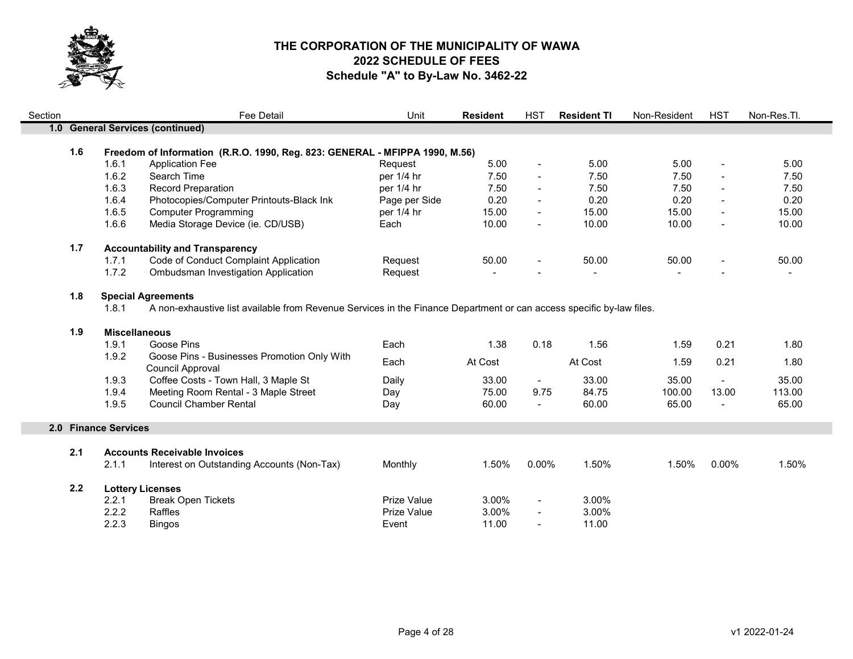

| Section |     |                                                                                    | Fee Detail                                                                                                           | Unit               | <b>Resident</b> | <b>HST</b>               | <b>Resident TI</b> | Non-Resident | <b>HST</b>                   | Non-Res.Tl. |  |
|---------|-----|------------------------------------------------------------------------------------|----------------------------------------------------------------------------------------------------------------------|--------------------|-----------------|--------------------------|--------------------|--------------|------------------------------|-------------|--|
|         |     | 1.0 General Services (continued)                                                   |                                                                                                                      |                    |                 |                          |                    |              |                              |             |  |
|         |     |                                                                                    |                                                                                                                      |                    |                 |                          |                    |              |                              |             |  |
|         |     | 1.6<br>Freedom of Information (R.R.O. 1990, Reg. 823: GENERAL - MFIPPA 1990, M.56) |                                                                                                                      |                    |                 |                          |                    |              |                              |             |  |
|         |     | 1.6.1<br><b>Application Fee</b>                                                    |                                                                                                                      | Request            | 5.00            | $\blacksquare$           | 5.00               | 5.00         | $\qquad \qquad \blacksquare$ | 5.00        |  |
|         |     | 1.6.2<br>Search Time                                                               |                                                                                                                      | per 1/4 hr         | 7.50            | $\blacksquare$           | 7.50               | 7.50         |                              | 7.50        |  |
|         |     | 1.6.3<br><b>Record Preparation</b>                                                 |                                                                                                                      | per 1/4 hr         | 7.50            | $\blacksquare$           | 7.50               | 7.50         | $\blacksquare$               | 7.50        |  |
|         |     | 1.6.4                                                                              | Photocopies/Computer Printouts-Black Ink                                                                             | Page per Side      | 0.20            | $\blacksquare$           | 0.20               | 0.20         |                              | 0.20        |  |
|         |     | 1.6.5<br><b>Computer Programming</b>                                               |                                                                                                                      | per 1/4 hr         | 15.00           | $\overline{\phantom{a}}$ | 15.00              | 15.00        |                              | 15.00       |  |
|         |     | 1.6.6                                                                              | Media Storage Device (ie. CD/USB)                                                                                    | Each               | 10.00           | $\blacksquare$           | 10.00              | 10.00        | $\blacksquare$               | 10.00       |  |
|         | 1.7 | <b>Accountability and Transparency</b>                                             |                                                                                                                      |                    |                 |                          |                    |              |                              |             |  |
|         |     | 1.7.1                                                                              | Code of Conduct Complaint Application                                                                                | Request            | 50.00           |                          | 50.00              | 50.00        | $\blacksquare$               | 50.00       |  |
|         |     | 1.7.2                                                                              | Ombudsman Investigation Application                                                                                  | Request            |                 |                          |                    |              |                              |             |  |
|         | 1.8 | <b>Special Agreements</b>                                                          |                                                                                                                      |                    |                 |                          |                    |              |                              |             |  |
|         |     | 1.8.1                                                                              | A non-exhaustive list available from Revenue Services in the Finance Department or can access specific by-law files. |                    |                 |                          |                    |              |                              |             |  |
|         | 1.9 | <b>Miscellaneous</b>                                                               |                                                                                                                      |                    |                 |                          |                    |              |                              |             |  |
|         |     | Goose Pins<br>1.9.1                                                                |                                                                                                                      | Each               | 1.38            | 0.18                     | 1.56               | 1.59         | 0.21                         | 1.80        |  |
|         |     | 1.9.2<br>Council Approval                                                          | Goose Pins - Businesses Promotion Only With                                                                          | Each               | At Cost         |                          | At Cost            | 1.59         | 0.21                         | 1.80        |  |
|         |     | 1.9.3                                                                              | Coffee Costs - Town Hall, 3 Maple St                                                                                 | Daily              | 33.00           | $\blacksquare$           | 33.00              | 35.00        | $\blacksquare$               | 35.00       |  |
|         |     | 1.9.4                                                                              | Meeting Room Rental - 3 Maple Street                                                                                 | Day                | 75.00           | 9.75                     | 84.75              | 100.00       | 13.00                        | 113.00      |  |
|         |     | 1.9.5<br><b>Council Chamber Rental</b>                                             |                                                                                                                      | Day                | 60.00           |                          | 60.00              | 65.00        |                              | 65.00       |  |
|         |     | 2.0 Finance Services                                                               |                                                                                                                      |                    |                 |                          |                    |              |                              |             |  |
|         |     |                                                                                    |                                                                                                                      |                    |                 |                          |                    |              |                              |             |  |
|         | 2.1 | <b>Accounts Receivable Invoices</b>                                                |                                                                                                                      |                    |                 |                          |                    |              |                              |             |  |
|         |     | 2.1.1                                                                              | Interest on Outstanding Accounts (Non-Tax)                                                                           | Monthly            | 1.50%           | 0.00%                    | 1.50%              | 1.50%        | 0.00%                        | 1.50%       |  |
|         | 2.2 | <b>Lottery Licenses</b>                                                            |                                                                                                                      |                    |                 |                          |                    |              |                              |             |  |
|         |     | <b>Break Open Tickets</b><br>2.2.1                                                 |                                                                                                                      | Prize Value        | 3.00%           | $\blacksquare$           | 3.00%              |              |                              |             |  |
|         |     | 2.2.2<br>Raffles                                                                   |                                                                                                                      | <b>Prize Value</b> | 3.00%           |                          | 3.00%              |              |                              |             |  |
|         |     | 2.2.3<br><b>Bingos</b>                                                             |                                                                                                                      | Event              | 11.00           | $\blacksquare$           | 11.00              |              |                              |             |  |

Ξ

m,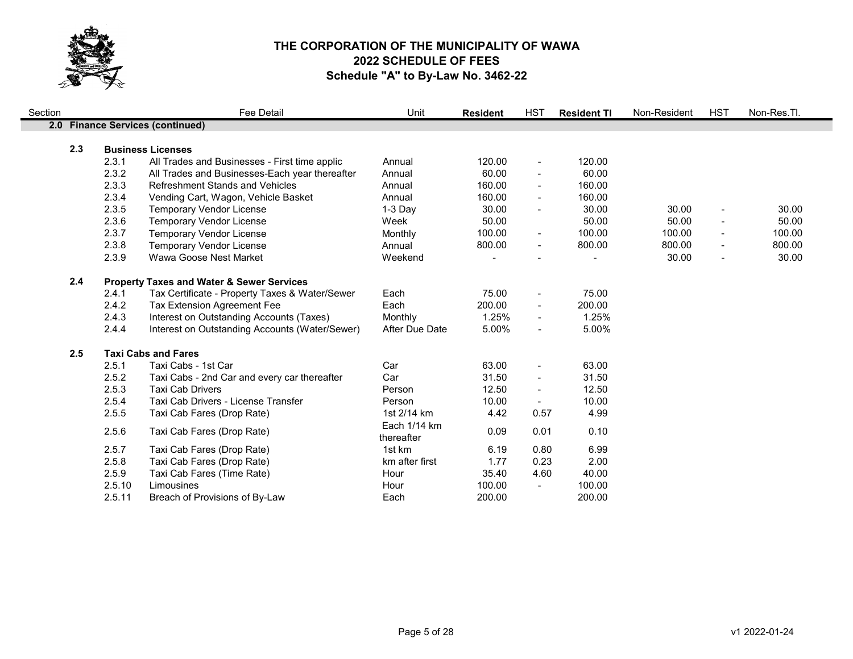

| Section |     |        | <b>Fee Detail</b>                                    | Unit                       | <b>Resident</b> | <b>HST</b>               | <b>Resident TI</b> | Non-Resident | <b>HST</b>               | Non-Res.Tl. |
|---------|-----|--------|------------------------------------------------------|----------------------------|-----------------|--------------------------|--------------------|--------------|--------------------------|-------------|
|         |     |        | 2.0 Finance Services (continued)                     |                            |                 |                          |                    |              |                          |             |
|         |     |        |                                                      |                            |                 |                          |                    |              |                          |             |
|         | 2.3 |        | <b>Business Licenses</b>                             |                            |                 |                          |                    |              |                          |             |
|         |     | 2.3.1  | All Trades and Businesses - First time applic        | Annual                     | 120.00          | $\overline{\phantom{a}}$ | 120.00             |              |                          |             |
|         |     | 2.3.2  | All Trades and Businesses-Each year thereafter       | Annual                     | 60.00           | $\blacksquare$           | 60.00              |              |                          |             |
|         |     | 2.3.3  | <b>Refreshment Stands and Vehicles</b>               | Annual                     | 160.00          | $\blacksquare$           | 160.00             |              |                          |             |
|         |     | 2.3.4  | Vending Cart, Wagon, Vehicle Basket                  | Annual                     | 160.00          | $\blacksquare$           | 160.00             |              |                          |             |
|         |     | 2.3.5  | <b>Temporary Vendor License</b>                      | $1-3$ Day                  | 30.00           | $\blacksquare$           | 30.00              | 30.00        | $\blacksquare$           | 30.00       |
|         |     | 2.3.6  | <b>Temporary Vendor License</b>                      | Week                       | 50.00           |                          | 50.00              | 50.00        |                          | 50.00       |
|         |     | 2.3.7  | <b>Temporary Vendor License</b>                      | Monthly                    | 100.00          | $\blacksquare$           | 100.00             | 100.00       |                          | 100.00      |
|         |     | 2.3.8  | <b>Temporary Vendor License</b>                      | Annual                     | 800.00          | $\overline{\phantom{a}}$ | 800.00             | 800.00       | $\overline{\phantom{a}}$ | 800.00      |
|         |     | 2.3.9  | Wawa Goose Nest Market                               | Weekend                    |                 |                          |                    | 30.00        |                          | 30.00       |
|         | 2.4 |        | <b>Property Taxes and Water &amp; Sewer Services</b> |                            |                 |                          |                    |              |                          |             |
|         |     | 2.4.1  | Tax Certificate - Property Taxes & Water/Sewer       | Each                       | 75.00           | $\overline{\phantom{a}}$ | 75.00              |              |                          |             |
|         |     | 2.4.2  | Tax Extension Agreement Fee                          | Each                       | 200.00          | $\overline{\phantom{a}}$ | 200.00             |              |                          |             |
|         |     | 2.4.3  | Interest on Outstanding Accounts (Taxes)             | Monthly                    | 1.25%           | $\blacksquare$           | 1.25%              |              |                          |             |
|         |     | 2.4.4  | Interest on Outstanding Accounts (Water/Sewer)       | After Due Date             | 5.00%           | $\blacksquare$           | 5.00%              |              |                          |             |
|         | 2.5 |        | <b>Taxi Cabs and Fares</b>                           |                            |                 |                          |                    |              |                          |             |
|         |     | 2.5.1  | Taxi Cabs - 1st Car                                  | Car                        | 63.00           | $\overline{\phantom{a}}$ | 63.00              |              |                          |             |
|         |     | 2.5.2  | Taxi Cabs - 2nd Car and every car thereafter         | Car                        | 31.50           | $\overline{\phantom{a}}$ | 31.50              |              |                          |             |
|         |     | 2.5.3  | <b>Taxi Cab Drivers</b>                              | Person                     | 12.50           | $\blacksquare$           | 12.50              |              |                          |             |
|         |     | 2.5.4  | Taxi Cab Drivers - License Transfer                  | Person                     | 10.00           | $\blacksquare$           | 10.00              |              |                          |             |
|         |     | 2.5.5  | Taxi Cab Fares (Drop Rate)                           | 1st 2/14 km                | 4.42            | 0.57                     | 4.99               |              |                          |             |
|         |     | 2.5.6  | Taxi Cab Fares (Drop Rate)                           | Each 1/14 km<br>thereafter | 0.09            | 0.01                     | 0.10               |              |                          |             |
|         |     | 2.5.7  | Taxi Cab Fares (Drop Rate)                           | 1st km                     | 6.19            | 0.80                     | 6.99               |              |                          |             |
|         |     | 2.5.8  | Taxi Cab Fares (Drop Rate)                           | km after first             | 1.77            | 0.23                     | 2.00               |              |                          |             |
|         |     | 2.5.9  | Taxi Cab Fares (Time Rate)                           | Hour                       | 35.40           | 4.60                     | 40.00              |              |                          |             |
|         |     | 2.5.10 | Limousines                                           | Hour                       | 100.00          | $\overline{\phantom{a}}$ | 100.00             |              |                          |             |
|         |     | 2.5.11 | Breach of Provisions of By-Law                       | Each                       | 200.00          |                          | 200.00             |              |                          |             |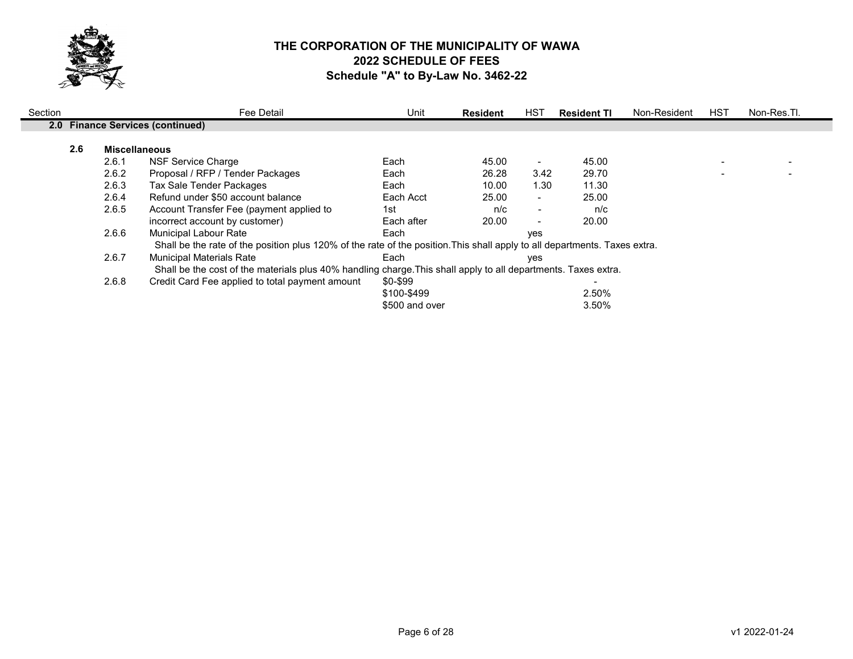

| Section |                                                                                                                |       | Fee Detail                                                                                                                 | Unit           | <b>Resident</b> | HST                      | <b>Resident TI</b> | Non-Resident | HST | Non-Res.Tl. |
|---------|----------------------------------------------------------------------------------------------------------------|-------|----------------------------------------------------------------------------------------------------------------------------|----------------|-----------------|--------------------------|--------------------|--------------|-----|-------------|
|         |                                                                                                                |       | 2.0 Finance Services (continued)                                                                                           |                |                 |                          |                    |              |     |             |
|         | 2.6<br><b>Miscellaneous</b>                                                                                    |       |                                                                                                                            |                |                 |                          |                    |              |     |             |
|         |                                                                                                                | 2.6.1 | NSF Service Charge                                                                                                         | Each           | 45.00           | $\blacksquare$           | 45.00              |              |     |             |
|         |                                                                                                                | 2.6.2 | Proposal / RFP / Tender Packages                                                                                           | Each           | 26.28           | 3.42                     | 29.70              |              |     |             |
|         |                                                                                                                | 2.6.3 | Tax Sale Tender Packages                                                                                                   | Each           | 10.00           | 1.30                     | 11.30              |              |     |             |
|         |                                                                                                                | 2.6.4 | Refund under \$50 account balance                                                                                          | Each Acct      | 25.00           | $\blacksquare$           | 25.00              |              |     |             |
|         |                                                                                                                | 2.6.5 | Account Transfer Fee (payment applied to                                                                                   | 1st            | n/c             | $\overline{\phantom{a}}$ | n/c                |              |     |             |
|         |                                                                                                                |       | incorrect account by customer)                                                                                             | Each after     | 20.00           | $\overline{\phantom{a}}$ | 20.00              |              |     |             |
|         |                                                                                                                | 2.6.6 | <b>Municipal Labour Rate</b>                                                                                               | Each           |                 | ves                      |                    |              |     |             |
|         |                                                                                                                |       | Shall be the rate of the position plus 120% of the rate of the position. This shall apply to all departments. Taxes extra. |                |                 |                          |                    |              |     |             |
|         |                                                                                                                | 2.6.7 | <b>Municipal Materials Rate</b>                                                                                            | Each           |                 | ves                      |                    |              |     |             |
|         | Shall be the cost of the materials plus 40% handling charge. This shall apply to all departments. Taxes extra. |       |                                                                                                                            |                |                 |                          |                    |              |     |             |
|         |                                                                                                                | 2.6.8 | Credit Card Fee applied to total payment amount                                                                            | \$0-\$99       |                 |                          |                    |              |     |             |
|         |                                                                                                                |       |                                                                                                                            | \$100-\$499    |                 |                          | 2.50%              |              |     |             |
|         |                                                                                                                |       |                                                                                                                            | \$500 and over |                 |                          | 3.50%              |              |     |             |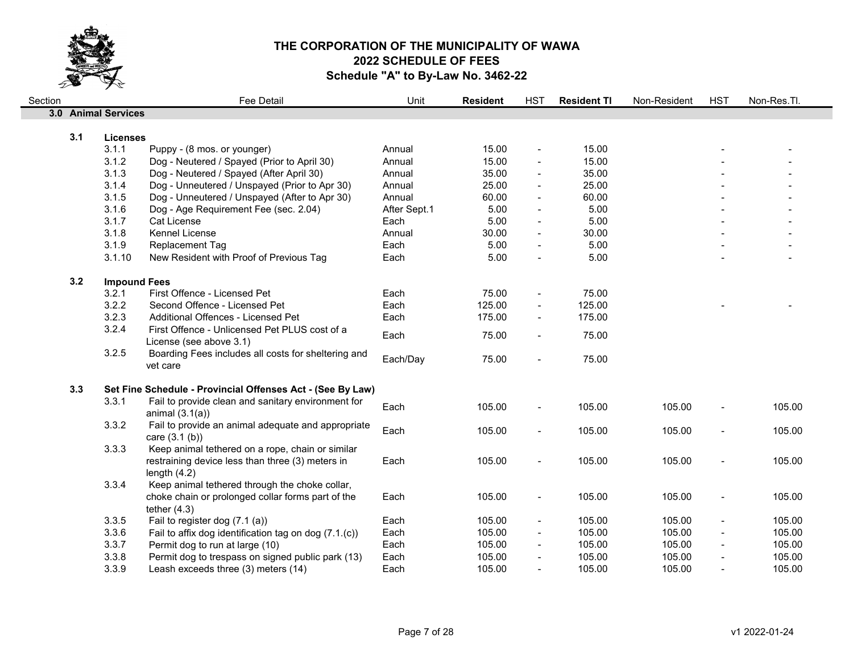

| Section |     |                     | Fee Detail                                                               | Unit         | <b>Resident</b> | <b>HST</b>               | <b>Resident TI</b> | Non-Resident | <b>HST</b>               | Non-Res.Tl. |
|---------|-----|---------------------|--------------------------------------------------------------------------|--------------|-----------------|--------------------------|--------------------|--------------|--------------------------|-------------|
|         |     | 3.0 Animal Services |                                                                          |              |                 |                          |                    |              |                          |             |
|         |     |                     |                                                                          |              |                 |                          |                    |              |                          |             |
|         | 3.1 | <b>Licenses</b>     |                                                                          |              |                 |                          |                    |              |                          |             |
|         |     | 3.1.1               | Puppy - (8 mos. or younger)                                              | Annual       | 15.00           | $\blacksquare$           | 15.00              |              |                          |             |
|         |     | 3.1.2               | Dog - Neutered / Spayed (Prior to April 30)                              | Annual       | 15.00           | $\blacksquare$           | 15.00              |              |                          |             |
|         |     | 3.1.3               | Dog - Neutered / Spayed (After April 30)                                 | Annual       | 35.00           | $\blacksquare$           | 35.00              |              |                          |             |
|         |     | 3.1.4               | Dog - Unneutered / Unspayed (Prior to Apr 30)                            | Annual       | 25.00           |                          | 25.00              |              |                          |             |
|         |     | 3.1.5               | Dog - Unneutered / Unspayed (After to Apr 30)                            | Annual       | 60.00           |                          | 60.00              |              |                          |             |
|         |     | 3.1.6               | Dog - Age Requirement Fee (sec. 2.04)                                    | After Sept.1 | 5.00            |                          | 5.00               |              |                          |             |
|         |     | 3.1.7               | Cat License                                                              | Each         | 5.00            |                          | 5.00               |              |                          |             |
|         |     | 3.1.8               | Kennel License                                                           | Annual       | 30.00           |                          | 30.00              |              |                          |             |
|         |     | 3.1.9               | Replacement Tag                                                          | Each         | 5.00            |                          | 5.00               |              |                          |             |
|         |     | 3.1.10              | New Resident with Proof of Previous Tag                                  | Each         | 5.00            | $\blacksquare$           | 5.00               |              |                          |             |
|         | 3.2 |                     |                                                                          |              |                 |                          |                    |              |                          |             |
|         |     | <b>Impound Fees</b> | First Offence - Licensed Pet                                             |              |                 |                          |                    |              |                          |             |
|         |     | 3.2.1<br>3.2.2      |                                                                          | Each         | 75.00<br>125.00 | $\blacksquare$           | 75.00<br>125.00    |              |                          |             |
|         |     |                     | Second Offence - Licensed Pet                                            | Each         |                 |                          |                    |              |                          |             |
|         |     | 3.2.3               | Additional Offences - Licensed Pet                                       | Each         | 175.00          |                          | 175.00             |              |                          |             |
|         |     | 3.2.4               | First Offence - Unlicensed Pet PLUS cost of a<br>License (see above 3.1) | Each         | 75.00           | $\blacksquare$           | 75.00              |              |                          |             |
|         |     | 3.2.5               | Boarding Fees includes all costs for sheltering and                      |              |                 |                          |                    |              |                          |             |
|         |     |                     | vet care                                                                 | Each/Day     | 75.00           | $\blacksquare$           | 75.00              |              |                          |             |
|         |     |                     |                                                                          |              |                 |                          |                    |              |                          |             |
|         | 3.3 |                     | Set Fine Schedule - Provincial Offenses Act - (See By Law)               |              |                 |                          |                    |              |                          |             |
|         |     | 3.3.1               | Fail to provide clean and sanitary environment for                       | Each         | 105.00          | $\blacksquare$           | 105.00             | 105.00       |                          | 105.00      |
|         |     |                     | animal $(3.1(a))$                                                        |              |                 |                          |                    |              |                          |             |
|         |     | 3.3.2               | Fail to provide an animal adequate and appropriate                       | Each         | 105.00          | $\blacksquare$           | 105.00             | 105.00       |                          | 105.00      |
|         |     |                     | care $(3.1 (b))$                                                         |              |                 |                          |                    |              |                          |             |
|         |     | 3.3.3               | Keep animal tethered on a rope, chain or similar                         |              |                 |                          |                    |              |                          |             |
|         |     |                     | restraining device less than three (3) meters in                         | Each         | 105.00          | $\overline{\phantom{a}}$ | 105.00             | 105.00       | $\blacksquare$           | 105.00      |
|         |     |                     | length $(4.2)$                                                           |              |                 |                          |                    |              |                          |             |
|         |     | 3.3.4               | Keep animal tethered through the choke collar,                           |              |                 |                          |                    |              |                          |             |
|         |     |                     | choke chain or prolonged collar forms part of the                        | Each         | 105.00          | $\blacksquare$           | 105.00             | 105.00       | $\blacksquare$           | 105.00      |
|         |     |                     | tether $(4.3)$                                                           |              |                 |                          |                    |              |                          |             |
|         |     | 3.3.5               | Fail to register dog (7.1 (a))                                           | Each         | 105.00          | $\overline{\phantom{a}}$ | 105.00             | 105.00       | $\blacksquare$           | 105.00      |
|         |     | 3.3.6               | Fail to affix dog identification tag on dog (7.1.(c))                    | Each         | 105.00          | $\blacksquare$           | 105.00             | 105.00       | $\blacksquare$           | 105.00      |
|         |     | 3.3.7               | Permit dog to run at large (10)                                          | Each         | 105.00          | $\overline{\phantom{a}}$ | 105.00             | 105.00       | $\overline{\phantom{a}}$ | 105.00      |
|         |     | 3.3.8               | Permit dog to trespass on signed public park (13)                        | Each         | 105.00          |                          | 105.00             | 105.00       |                          | 105.00      |
|         |     | 3.3.9               | Leash exceeds three (3) meters (14)                                      | Each         | 105.00          |                          | 105.00             | 105.00       |                          | 105.00      |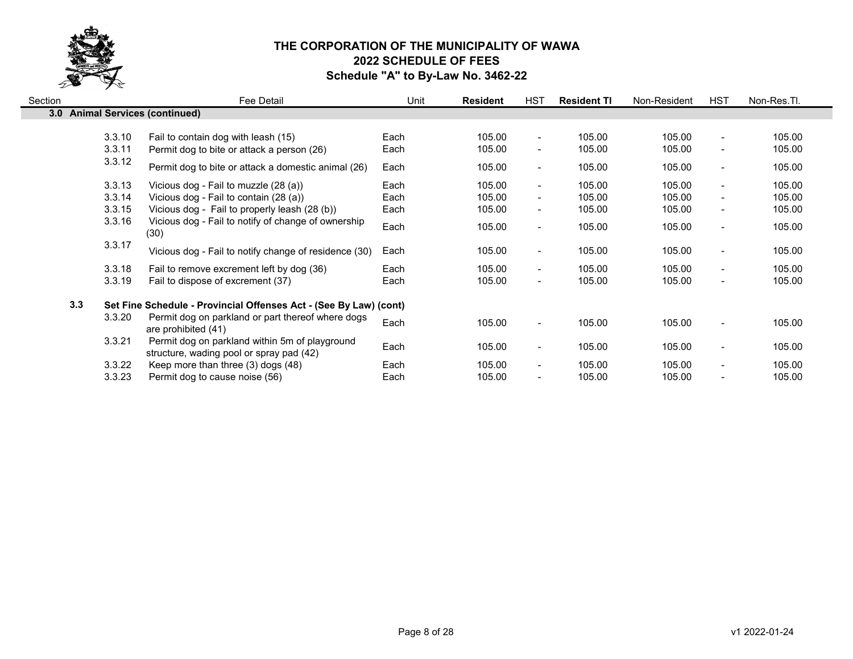

| Section |                                                | Fee Detail                                                                                                                                                                                                                                               | Unit                                 | <b>Resident</b>                                | HST                                                                                      | <b>Resident TI</b>                             | Non-Resident                                   | <b>HST</b>                                                                                                           | Non-Res.Tl.                                    |
|---------|------------------------------------------------|----------------------------------------------------------------------------------------------------------------------------------------------------------------------------------------------------------------------------------------------------------|--------------------------------------|------------------------------------------------|------------------------------------------------------------------------------------------|------------------------------------------------|------------------------------------------------|----------------------------------------------------------------------------------------------------------------------|------------------------------------------------|
|         | 3.0 Animal Services (continued)                |                                                                                                                                                                                                                                                          |                                      |                                                |                                                                                          |                                                |                                                |                                                                                                                      |                                                |
|         | 3.3.10<br>3.3.11                               | Fail to contain dog with leash (15)<br>Permit dog to bite or attack a person (26)                                                                                                                                                                        | Each<br>Each                         | 105.00<br>105.00                               | $\blacksquare$<br>$\overline{\phantom{a}}$                                               | 105.00<br>105.00                               | 105.00<br>105.00                               | $\overline{\phantom{a}}$<br>$\overline{\phantom{a}}$                                                                 | 105.00<br>105.00                               |
|         | 3.3.12                                         | Permit dog to bite or attack a domestic animal (26)                                                                                                                                                                                                      | Each                                 | 105.00                                         | $\blacksquare$                                                                           | 105.00                                         | 105.00                                         | $\blacksquare$                                                                                                       | 105.00                                         |
|         | 3.3.13<br>3.3.14<br>3.3.15<br>3.3.16<br>3.3.17 | Vicious dog - Fail to muzzle (28 (a))<br>Vicious dog - Fail to contain (28 (a))<br>Vicious dog - Fail to properly leash (28 (b))<br>Vicious dog - Fail to notify of change of ownership<br>(30)<br>Vicious dog - Fail to notify change of residence (30) | Each<br>Each<br>Each<br>Each<br>Each | 105.00<br>105.00<br>105.00<br>105.00<br>105.00 | $\sim$<br>$\overline{\phantom{a}}$<br>$\blacksquare$<br>$\blacksquare$<br>$\blacksquare$ | 105.00<br>105.00<br>105.00<br>105.00<br>105.00 | 105.00<br>105.00<br>105.00<br>105.00<br>105.00 | $\blacksquare$<br>$\overline{\phantom{a}}$<br>$\overline{\phantom{a}}$<br>$\blacksquare$<br>$\overline{\phantom{a}}$ | 105.00<br>105.00<br>105.00<br>105.00<br>105.00 |
|         | 3.3.18<br>3.3.19                               | Fail to remove excrement left by dog (36)<br>Fail to dispose of excrement (37)                                                                                                                                                                           | Each<br>Each                         | 105.00<br>105.00                               | $\blacksquare$<br>$\blacksquare$                                                         | 105.00<br>105.00                               | 105.00<br>105.00                               | $\blacksquare$<br>$\blacksquare$                                                                                     | 105.00<br>105.00                               |
|         | 3.3<br>3.3.20                                  | Set Fine Schedule - Provincial Offenses Act - (See By Law) (cont)<br>Permit dog on parkland or part thereof where dogs<br>are prohibited (41)                                                                                                            | Each                                 | 105.00                                         | $\blacksquare$                                                                           | 105.00                                         | 105.00                                         | $\blacksquare$                                                                                                       | 105.00                                         |
|         | 3.3.21<br>3.3.22<br>3.3.23                     | Permit dog on parkland within 5m of playground<br>structure, wading pool or spray pad (42)<br>Keep more than three (3) dogs (48)<br>Permit dog to cause noise (56)                                                                                       | Each<br>Each<br>Each                 | 105.00<br>105.00<br>105.00                     | $\blacksquare$<br>$\overline{\phantom{a}}$<br>$\overline{\phantom{0}}$                   | 105.00<br>105.00<br>105.00                     | 105.00<br>105.00<br>105.00                     | $\overline{\phantom{a}}$<br>$\blacksquare$<br>$\overline{\phantom{0}}$                                               | 105.00<br>105.00<br>105.00                     |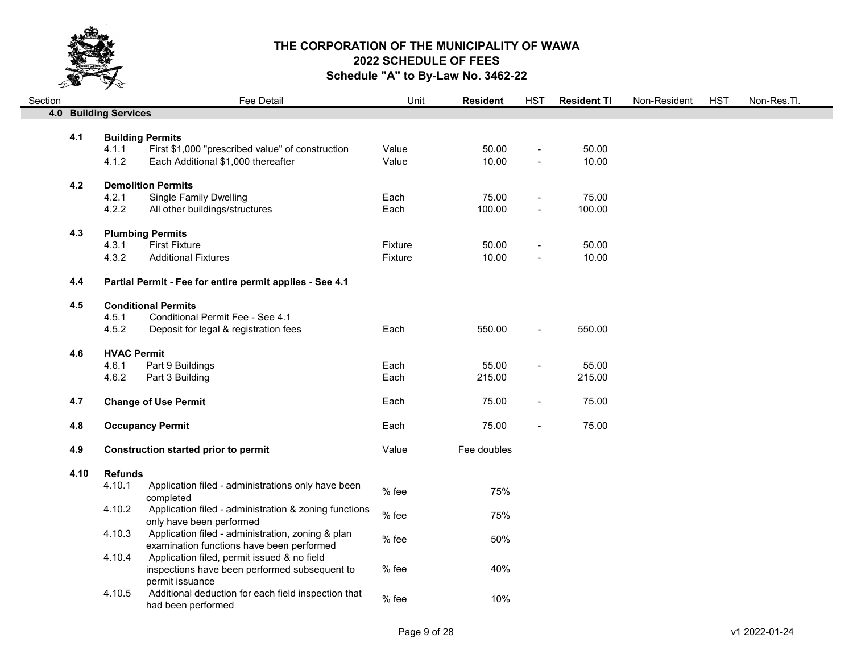

| Section |      |                              | Fee Detail                                                                  | Unit    | <b>Resident</b> | <b>HST</b>               | <b>Resident TI</b> | Non-Resident | <b>HST</b> | Non-Res.Tl. |
|---------|------|------------------------------|-----------------------------------------------------------------------------|---------|-----------------|--------------------------|--------------------|--------------|------------|-------------|
|         |      | <b>4.0 Building Services</b> |                                                                             |         |                 |                          |                    |              |            |             |
|         |      |                              |                                                                             |         |                 |                          |                    |              |            |             |
|         | 4.1  | 4.1.1                        | <b>Building Permits</b><br>First \$1,000 "prescribed value" of construction | Value   | 50.00           | $\overline{\phantom{a}}$ | 50.00              |              |            |             |
|         |      | 4.1.2                        | Each Additional \$1,000 thereafter                                          | Value   | 10.00           |                          | 10.00              |              |            |             |
|         |      |                              |                                                                             |         |                 |                          |                    |              |            |             |
|         | 4.2  | <b>Demolition Permits</b>    |                                                                             |         |                 |                          |                    |              |            |             |
|         |      | 4.2.1                        | <b>Single Family Dwelling</b>                                               | Each    | 75.00           | $\blacksquare$           | 75.00              |              |            |             |
|         |      | 4.2.2                        | All other buildings/structures                                              | Each    | 100.00          | $\blacksquare$           | 100.00             |              |            |             |
|         | 4.3  |                              | <b>Plumbing Permits</b>                                                     |         |                 |                          |                    |              |            |             |
|         |      | 4.3.1                        | <b>First Fixture</b>                                                        | Fixture | 50.00           | $\overline{\phantom{a}}$ | 50.00              |              |            |             |
|         |      | 4.3.2                        | <b>Additional Fixtures</b>                                                  | Fixture | 10.00           | $\blacksquare$           | 10.00              |              |            |             |
|         |      |                              |                                                                             |         |                 |                          |                    |              |            |             |
|         | 4.4  |                              | Partial Permit - Fee for entire permit applies - See 4.1                    |         |                 |                          |                    |              |            |             |
|         | 4.5  |                              | <b>Conditional Permits</b>                                                  |         |                 |                          |                    |              |            |             |
|         |      | 4.5.1                        | Conditional Permit Fee - See 4.1                                            |         |                 |                          |                    |              |            |             |
|         |      | 4.5.2                        | Deposit for legal & registration fees                                       | Each    | 550.00          | $\blacksquare$           | 550.00             |              |            |             |
|         |      |                              |                                                                             |         |                 |                          |                    |              |            |             |
|         | 4.6  | <b>HVAC Permit</b>           |                                                                             |         |                 |                          |                    |              |            |             |
|         |      | 4.6.1                        | Part 9 Buildings                                                            | Each    | 55.00           | $\overline{\phantom{a}}$ | 55.00              |              |            |             |
|         |      | 4.6.2                        | Part 3 Building                                                             | Each    | 215.00          |                          | 215.00             |              |            |             |
|         | 4.7  |                              | <b>Change of Use Permit</b>                                                 | Each    | 75.00           | $\blacksquare$           | 75.00              |              |            |             |
|         |      |                              |                                                                             |         |                 |                          |                    |              |            |             |
|         | 4.8  |                              | <b>Occupancy Permit</b>                                                     | Each    | 75.00           |                          | 75.00              |              |            |             |
|         | 4.9  |                              | <b>Construction started prior to permit</b>                                 | Value   | Fee doubles     |                          |                    |              |            |             |
|         |      |                              |                                                                             |         |                 |                          |                    |              |            |             |
|         | 4.10 | <b>Refunds</b>               |                                                                             |         |                 |                          |                    |              |            |             |
|         |      | 4.10.1                       | Application filed - administrations only have been<br>completed             | % fee   | 75%             |                          |                    |              |            |             |
|         |      | 4.10.2                       | Application filed - administration & zoning functions                       |         |                 |                          |                    |              |            |             |
|         |      |                              | only have been performed                                                    | % fee   | 75%             |                          |                    |              |            |             |
|         |      | 4.10.3                       | Application filed - administration, zoning & plan                           | % fee   | 50%             |                          |                    |              |            |             |
|         |      |                              | examination functions have been performed                                   |         |                 |                          |                    |              |            |             |
|         |      | 4.10.4                       | Application filed, permit issued & no field                                 |         |                 |                          |                    |              |            |             |
|         |      |                              | inspections have been performed subsequent to                               | % fee   | 40%             |                          |                    |              |            |             |
|         |      |                              | permit issuance                                                             |         |                 |                          |                    |              |            |             |
|         |      | 4.10.5                       | Additional deduction for each field inspection that<br>had been performed   | % fee   | 10%             |                          |                    |              |            |             |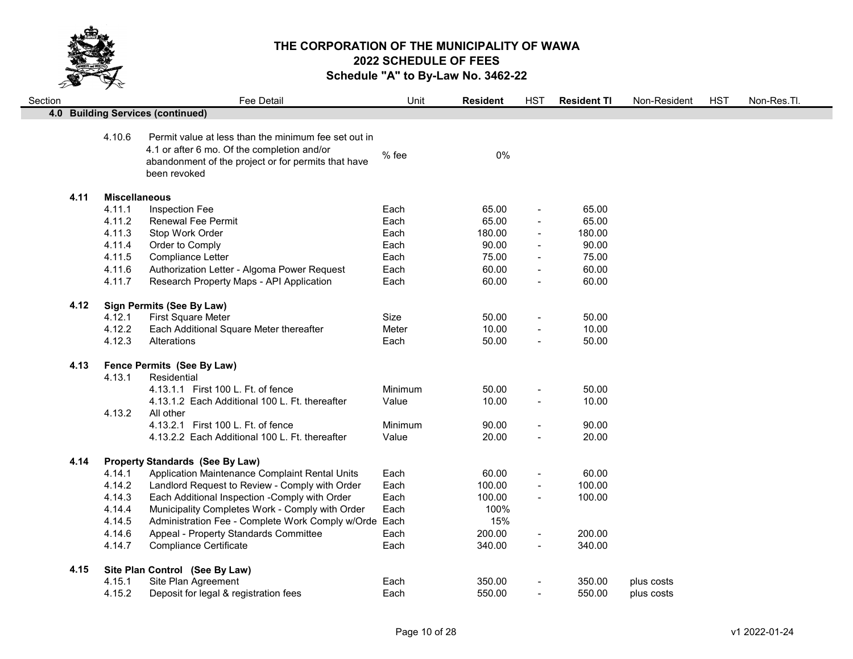

| Section |      |                      | Fee Detail                                                                                                                                                                 | Unit    | <b>Resident</b> | <b>HST</b>               | <b>Resident TI</b> | Non-Resident | <b>HST</b> | Non-Res.Tl. |
|---------|------|----------------------|----------------------------------------------------------------------------------------------------------------------------------------------------------------------------|---------|-----------------|--------------------------|--------------------|--------------|------------|-------------|
|         |      |                      | 4.0 Building Services (continued)                                                                                                                                          |         |                 |                          |                    |              |            |             |
|         |      | 4.10.6               | Permit value at less than the minimum fee set out in<br>4.1 or after 6 mo. Of the completion and/or<br>abandonment of the project or for permits that have<br>been revoked | % fee   | 0%              |                          |                    |              |            |             |
|         | 4.11 | <b>Miscellaneous</b> |                                                                                                                                                                            |         |                 |                          |                    |              |            |             |
|         |      | 4.11.1               | Inspection Fee                                                                                                                                                             | Each    | 65.00           | $\overline{\phantom{a}}$ | 65.00              |              |            |             |
|         |      | 4.11.2               | <b>Renewal Fee Permit</b>                                                                                                                                                  | Each    | 65.00           |                          | 65.00              |              |            |             |
|         |      | 4.11.3               | Stop Work Order                                                                                                                                                            | Each    | 180.00          |                          | 180.00             |              |            |             |
|         |      | 4.11.4               | Order to Comply                                                                                                                                                            | Each    | 90.00           | $\blacksquare$           | 90.00              |              |            |             |
|         |      | 4.11.5               | Compliance Letter                                                                                                                                                          | Each    | 75.00           | $\blacksquare$           | 75.00              |              |            |             |
|         |      | 4.11.6               | Authorization Letter - Algoma Power Request                                                                                                                                | Each    | 60.00           |                          | 60.00              |              |            |             |
|         |      | 4.11.7               | Research Property Maps - API Application                                                                                                                                   | Each    | 60.00           |                          | 60.00              |              |            |             |
|         | 4.12 |                      | <b>Sign Permits (See By Law)</b>                                                                                                                                           |         |                 |                          |                    |              |            |             |
|         |      | 4.12.1               | First Square Meter                                                                                                                                                         | Size    | 50.00           |                          | 50.00              |              |            |             |
|         |      | 4.12.2               | Each Additional Square Meter thereafter                                                                                                                                    | Meter   | 10.00           |                          | 10.00              |              |            |             |
|         |      | 4.12.3               | Alterations                                                                                                                                                                | Each    | 50.00           | $\blacksquare$           | 50.00              |              |            |             |
|         | 4.13 |                      | Fence Permits (See By Law)                                                                                                                                                 |         |                 |                          |                    |              |            |             |
|         |      | 4.13.1               | Residential                                                                                                                                                                |         |                 |                          |                    |              |            |             |
|         |      |                      | 4.13.1.1 First 100 L. Ft. of fence                                                                                                                                         | Minimum | 50.00           |                          | 50.00              |              |            |             |
|         |      | 4.13.2               | 4.13.1.2 Each Additional 100 L. Ft. thereafter<br>All other                                                                                                                | Value   | 10.00           | $\blacksquare$           | 10.00              |              |            |             |
|         |      |                      | 4.13.2.1 First 100 L. Ft. of fence                                                                                                                                         | Minimum | 90.00           | $\blacksquare$           | 90.00              |              |            |             |
|         |      |                      | 4.13.2.2 Each Additional 100 L. Ft. thereafter                                                                                                                             | Value   | 20.00           | $\sim$                   | 20.00              |              |            |             |
|         | 4.14 |                      | <b>Property Standards (See By Law)</b>                                                                                                                                     |         |                 |                          |                    |              |            |             |
|         |      | 4.14.1               | Application Maintenance Complaint Rental Units                                                                                                                             | Each    | 60.00           | $\overline{\phantom{a}}$ | 60.00              |              |            |             |
|         |      | 4.14.2               | Landlord Request to Review - Comply with Order                                                                                                                             | Each    | 100.00          | $\sim$                   | 100.00             |              |            |             |
|         |      | 4.14.3               | Each Additional Inspection -Comply with Order                                                                                                                              | Each    | 100.00          | $\overline{\phantom{a}}$ | 100.00             |              |            |             |
|         |      | 4.14.4               | Municipality Completes Work - Comply with Order                                                                                                                            | Each    | 100%            |                          |                    |              |            |             |
|         |      | 4.14.5               | Administration Fee - Complete Work Comply w/Orde Each                                                                                                                      |         | 15%             |                          |                    |              |            |             |
|         |      | 4.14.6               | Appeal - Property Standards Committee                                                                                                                                      | Each    | 200.00          |                          | 200.00             |              |            |             |
|         |      | 4.14.7               | <b>Compliance Certificate</b>                                                                                                                                              | Each    | 340.00          | $\sim$                   | 340.00             |              |            |             |
|         | 4.15 |                      | Site Plan Control (See By Law)                                                                                                                                             |         |                 |                          |                    |              |            |             |
|         |      | 4.15.1               | Site Plan Agreement                                                                                                                                                        | Each    | 350.00          |                          | 350.00             | plus costs   |            |             |
|         |      | 4.15.2               | Deposit for legal & registration fees                                                                                                                                      | Each    | 550.00          | $\blacksquare$           | 550.00             | plus costs   |            |             |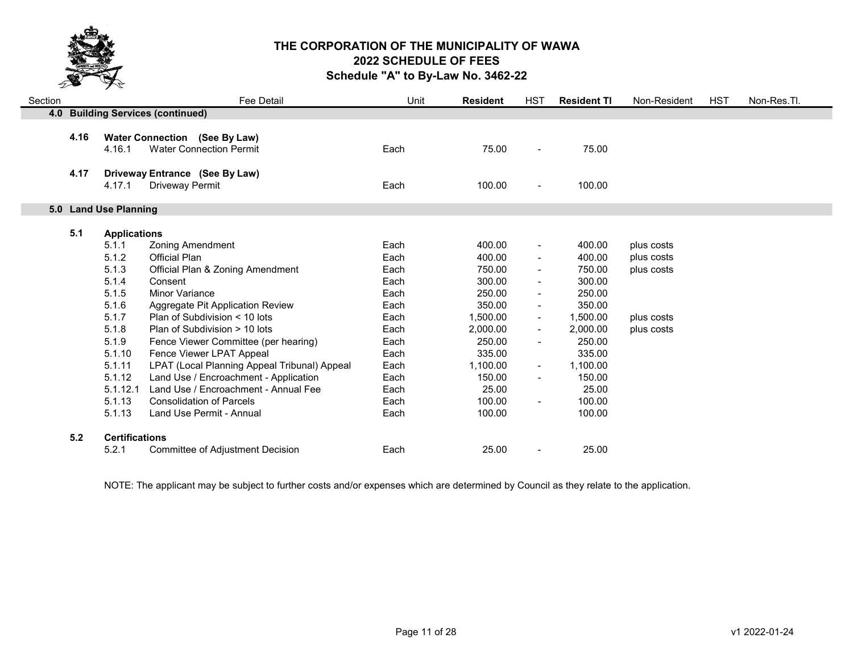

| Section |      |                                | Fee Detail                                                             | Unit | <b>Resident</b> | <b>HST</b>               | <b>Resident TI</b> | Non-Resident | <b>HST</b> | Non-Res.Tl. |
|---------|------|--------------------------------|------------------------------------------------------------------------|------|-----------------|--------------------------|--------------------|--------------|------------|-------------|
|         |      |                                | 4.0 Building Services (continued)                                      |      |                 |                          |                    |              |            |             |
|         | 4.16 | 4.16.1                         | <b>Water Connection (See By Law)</b><br><b>Water Connection Permit</b> | Each | 75.00           | $\blacksquare$           | 75.00              |              |            |             |
|         |      |                                |                                                                        |      |                 |                          |                    |              |            |             |
|         | 4.17 |                                | Driveway Entrance (See By Law)                                         |      |                 |                          |                    |              |            |             |
|         |      | 4.17.1                         | <b>Driveway Permit</b>                                                 | Each | 100.00          | $\blacksquare$           | 100.00             |              |            |             |
|         |      |                                |                                                                        |      |                 |                          |                    |              |            |             |
|         |      | 5.0 Land Use Planning          |                                                                        |      |                 |                          |                    |              |            |             |
|         | 5.1  | <b>Applications</b>            |                                                                        |      |                 |                          |                    |              |            |             |
|         |      | 5.1.1                          | <b>Zoning Amendment</b>                                                | Each | 400.00          | $\blacksquare$           | 400.00             | plus costs   |            |             |
|         |      | 5.1.2                          | <b>Official Plan</b>                                                   | Each | 400.00          |                          | 400.00             | plus costs   |            |             |
|         |      | 5.1.3                          | Official Plan & Zoning Amendment                                       | Each | 750.00          | $\blacksquare$           | 750.00             | plus costs   |            |             |
|         |      | 5.1.4                          | Consent                                                                | Each | 300.00          |                          | 300.00             |              |            |             |
|         |      | 5.1.5                          | Minor Variance                                                         | Each | 250.00          | $\overline{\phantom{0}}$ | 250.00             |              |            |             |
|         |      | 5.1.6                          | Aggregate Pit Application Review                                       | Each | 350.00          |                          | 350.00             |              |            |             |
|         |      | 5.1.7                          | Plan of Subdivision < 10 lots                                          | Each | 1,500.00        | $\blacksquare$           | 1,500.00           | plus costs   |            |             |
|         |      | 5.1.8                          | Plan of Subdivision > 10 lots                                          | Each | 2,000.00        | $\blacksquare$           | 2,000.00           | plus costs   |            |             |
|         |      | 5.1.9                          | Fence Viewer Committee (per hearing)                                   | Each | 250.00          |                          | 250.00             |              |            |             |
|         |      | 5.1.10                         | Fence Viewer LPAT Appeal                                               | Each | 335.00          |                          | 335.00             |              |            |             |
|         |      | 5.1.11                         | LPAT (Local Planning Appeal Tribunal) Appeal                           | Each | 1,100.00        | $\blacksquare$           | 1,100.00           |              |            |             |
|         |      | 5.1.12                         | Land Use / Encroachment - Application                                  | Each | 150.00          | $\overline{\phantom{0}}$ | 150.00             |              |            |             |
|         |      | 5.1.12.1                       | Land Use / Encroachment - Annual Fee                                   | Each | 25.00           |                          | 25.00              |              |            |             |
|         |      | 5.1.13                         | <b>Consolidation of Parcels</b>                                        | Each | 100.00          | $\overline{\phantom{0}}$ | 100.00             |              |            |             |
|         |      | 5.1.13                         | Land Use Permit - Annual                                               | Each | 100.00          |                          | 100.00             |              |            |             |
|         |      |                                |                                                                        |      |                 |                          |                    |              |            |             |
|         | 5.2  | <b>Certifications</b><br>5.2.1 | <b>Committee of Adjustment Decision</b>                                | Each | 25.00           |                          | 25.00              |              |            |             |

NOTE: The applicant may be subject to further costs and/or expenses which are determined by Council as they relate to the application.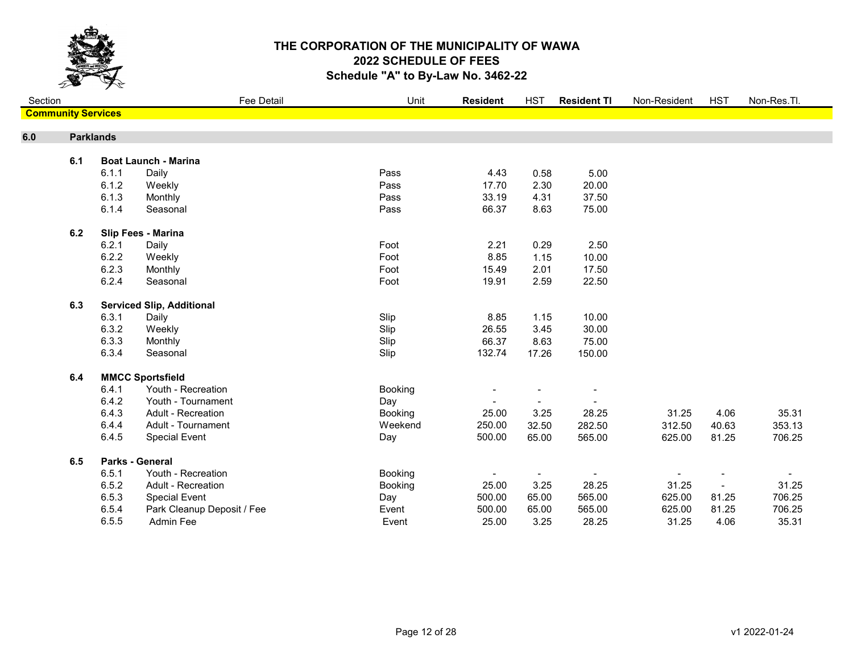

| Section                   |                  |                                  | <b>Fee Detail</b>          | Unit    | <b>Resident</b> | <b>HST</b>     | <b>Resident TI</b>       | Non-Resident | <b>HST</b>     | Non-Res.Tl. |
|---------------------------|------------------|----------------------------------|----------------------------|---------|-----------------|----------------|--------------------------|--------------|----------------|-------------|
| <b>Community Services</b> |                  |                                  |                            |         |                 |                |                          |              |                |             |
| 6.0                       | <b>Parklands</b> |                                  |                            |         |                 |                |                          |              |                |             |
|                           |                  |                                  |                            |         |                 |                |                          |              |                |             |
|                           | 6.1              | <b>Boat Launch - Marina</b>      |                            |         |                 |                |                          |              |                |             |
|                           |                  | 6.1.1<br>Daily                   |                            | Pass    | 4.43            | 0.58           | 5.00                     |              |                |             |
|                           |                  | 6.1.2<br>Weekly                  |                            | Pass    | 17.70           | 2.30           | 20.00                    |              |                |             |
|                           |                  | 6.1.3<br>Monthly                 |                            | Pass    | 33.19           | 4.31           | 37.50                    |              |                |             |
|                           |                  | 6.1.4<br>Seasonal                |                            | Pass    | 66.37           | 8.63           | 75.00                    |              |                |             |
|                           | 6.2              | Slip Fees - Marina               |                            |         |                 |                |                          |              |                |             |
|                           |                  | 6.2.1<br>Daily                   |                            | Foot    | 2.21            | 0.29           | 2.50                     |              |                |             |
|                           |                  | 6.2.2<br>Weekly                  |                            | Foot    | 8.85            | 1.15           | 10.00                    |              |                |             |
|                           |                  | 6.2.3<br>Monthly                 |                            | Foot    | 15.49           | 2.01           | 17.50                    |              |                |             |
|                           |                  | 6.2.4<br>Seasonal                |                            | Foot    | 19.91           | 2.59           | 22.50                    |              |                |             |
|                           | 6.3              | <b>Serviced Slip, Additional</b> |                            |         |                 |                |                          |              |                |             |
|                           |                  | 6.3.1<br>Daily                   |                            | Slip    | 8.85            | 1.15           | 10.00                    |              |                |             |
|                           |                  | 6.3.2<br>Weekly                  |                            | Slip    | 26.55           | 3.45           | 30.00                    |              |                |             |
|                           |                  | 6.3.3<br>Monthly                 |                            | Slip    | 66.37           | 8.63           | 75.00                    |              |                |             |
|                           |                  | 6.3.4<br>Seasonal                |                            | Slip    | 132.74          | 17.26          | 150.00                   |              |                |             |
|                           | 6.4              | <b>MMCC Sportsfield</b>          |                            |         |                 |                |                          |              |                |             |
|                           |                  | 6.4.1                            | Youth - Recreation         | Booking |                 |                | $\overline{\phantom{a}}$ |              |                |             |
|                           |                  | 6.4.2                            | Youth - Tournament         | Day     |                 |                |                          |              |                |             |
|                           |                  | 6.4.3                            | <b>Adult - Recreation</b>  | Booking | 25.00           | 3.25           | 28.25                    | 31.25        | 4.06           | 35.31       |
|                           |                  | 6.4.4                            | Adult - Tournament         | Weekend | 250.00          | 32.50          | 282.50                   | 312.50       | 40.63          | 353.13      |
|                           |                  | 6.4.5                            | <b>Special Event</b>       | Day     | 500.00          | 65.00          | 565.00                   | 625.00       | 81.25          | 706.25      |
|                           | 6.5              | <b>Parks - General</b>           |                            |         |                 |                |                          |              |                |             |
|                           |                  | 6.5.1                            | Youth - Recreation         | Booking | $\blacksquare$  | $\blacksquare$ | $\overline{\phantom{a}}$ |              |                |             |
|                           |                  | 6.5.2                            | Adult - Recreation         | Booking | 25.00           | 3.25           | 28.25                    | 31.25        | $\blacksquare$ | 31.25       |
|                           |                  | 6.5.3                            | <b>Special Event</b>       | Day     | 500.00          | 65.00          | 565.00                   | 625.00       | 81.25          | 706.25      |
|                           |                  | 6.5.4                            | Park Cleanup Deposit / Fee | Event   | 500.00          | 65.00          | 565.00                   | 625.00       | 81.25          | 706.25      |
|                           |                  | 6.5.5                            | Admin Fee                  | Event   | 25.00           | 3.25           | 28.25                    | 31.25        | 4.06           | 35.31       |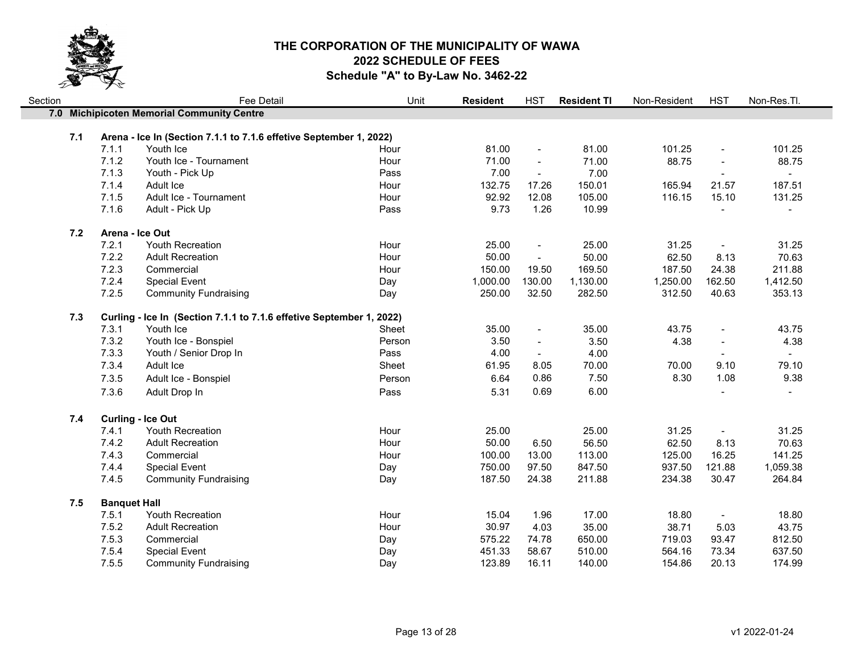

| Section |     |                     | Fee Detail                                                         | Unit   | <b>Resident</b> | <b>HST</b>               | <b>Resident TI</b> | Non-Resident | <b>HST</b>               | Non-Res.Tl.    |
|---------|-----|---------------------|--------------------------------------------------------------------|--------|-----------------|--------------------------|--------------------|--------------|--------------------------|----------------|
|         |     |                     | 7.0 Michipicoten Memorial Community Centre                         |        |                 |                          |                    |              |                          |                |
|         |     |                     |                                                                    |        |                 |                          |                    |              |                          |                |
|         | 7.1 |                     | Arena - Ice In (Section 7.1.1 to 7.1.6 effetive September 1, 2022) |        |                 |                          |                    |              |                          |                |
|         |     | 7.1.1               | Youth Ice                                                          | Hour   | 81.00           | $\blacksquare$           | 81.00              | 101.25       | $\overline{\phantom{a}}$ | 101.25         |
|         |     | 7.1.2               | Youth Ice - Tournament                                             | Hour   | 71.00           | $\sim$                   | 71.00              | 88.75        | $\blacksquare$           | 88.75          |
|         |     | 7.1.3               | Youth - Pick Up                                                    | Pass   | 7.00            | $\blacksquare$           | 7.00               |              |                          | $\sim$         |
|         |     | 7.1.4               | Adult Ice                                                          | Hour   | 132.75          | 17.26                    | 150.01             | 165.94       | 21.57                    | 187.51         |
|         |     | 7.1.5               | Adult Ice - Tournament                                             | Hour   | 92.92           | 12.08                    | 105.00             | 116.15       | 15.10                    | 131.25         |
|         |     | 7.1.6               | Adult - Pick Up                                                    | Pass   | 9.73            | 1.26                     | 10.99              |              | $\overline{a}$           | $\blacksquare$ |
|         | 7.2 |                     | Arena - Ice Out                                                    |        |                 |                          |                    |              |                          |                |
|         |     | 7.2.1               | Youth Recreation                                                   | Hour   | 25.00           | $\blacksquare$           | 25.00              | 31.25        | $\blacksquare$           | 31.25          |
|         |     | 7.2.2               | <b>Adult Recreation</b>                                            | Hour   | 50.00           | $\overline{a}$           | 50.00              | 62.50        | 8.13                     | 70.63          |
|         |     | 7.2.3               | Commercial                                                         | Hour   | 150.00          | 19.50                    | 169.50             | 187.50       | 24.38                    | 211.88         |
|         |     | 7.2.4               | <b>Special Event</b>                                               | Day    | 1,000.00        | 130.00                   | 1,130.00           | 1,250.00     | 162.50                   | 1,412.50       |
|         |     | 7.2.5               | <b>Community Fundraising</b>                                       | Day    | 250.00          | 32.50                    | 282.50             | 312.50       | 40.63                    | 353.13         |
|         | 7.3 |                     | Curling - Ice In (Section 7.1.1 to 7.1.6 effetive September 1,     | 2022)  |                 |                          |                    |              |                          |                |
|         |     | 7.3.1               | Youth Ice                                                          | Sheet  | 35.00           | $\blacksquare$           | 35.00              | 43.75        | $\blacksquare$           | 43.75          |
|         |     | 7.3.2               | Youth Ice - Bonspiel                                               | Person | 3.50            | $\overline{\phantom{a}}$ | 3.50               | 4.38         | $\blacksquare$           | 4.38           |
|         |     | 7.3.3               | Youth / Senior Drop In                                             | Pass   | 4.00            | $\overline{\phantom{a}}$ | 4.00               |              |                          |                |
|         |     | 7.3.4               | Adult Ice                                                          | Sheet  | 61.95           | 8.05                     | 70.00              | 70.00        | 9.10                     | 79.10          |
|         |     | 7.3.5               | Adult Ice - Bonspiel                                               | Person | 6.64            | 0.86                     | 7.50               | 8.30         | 1.08                     | 9.38           |
|         |     | 7.3.6               | Adult Drop In                                                      | Pass   | 5.31            | 0.69                     | 6.00               |              |                          |                |
|         |     |                     |                                                                    |        |                 |                          |                    |              |                          |                |
|         | 7.4 |                     | <b>Curling - Ice Out</b>                                           |        |                 |                          |                    |              |                          |                |
|         |     | 7.4.1               | Youth Recreation                                                   | Hour   | 25.00           |                          | 25.00              | 31.25        | $\blacksquare$           | 31.25          |
|         |     | 7.4.2               | <b>Adult Recreation</b>                                            | Hour   | 50.00           | 6.50                     | 56.50              | 62.50        | 8.13                     | 70.63          |
|         |     | 7.4.3               | Commercial                                                         | Hour   | 100.00          | 13.00                    | 113.00             | 125.00       | 16.25                    | 141.25         |
|         |     | 7.4.4               | <b>Special Event</b>                                               | Day    | 750.00          | 97.50                    | 847.50             | 937.50       | 121.88                   | 1,059.38       |
|         |     | 7.4.5               | <b>Community Fundraising</b>                                       | Day    | 187.50          | 24.38                    | 211.88             | 234.38       | 30.47                    | 264.84         |
|         | 7.5 | <b>Banquet Hall</b> |                                                                    |        |                 |                          |                    |              |                          |                |
|         |     | 7.5.1               | Youth Recreation                                                   | Hour   | 15.04           | 1.96                     | 17.00              | 18.80        | $\blacksquare$           | 18.80          |
|         |     | 7.5.2               | <b>Adult Recreation</b>                                            | Hour   | 30.97           | 4.03                     | 35.00              | 38.71        | 5.03                     | 43.75          |
|         |     | 7.5.3               | Commercial                                                         | Day    | 575.22          | 74.78                    | 650.00             | 719.03       | 93.47                    | 812.50         |
|         |     | 7.5.4               | <b>Special Event</b>                                               | Day    | 451.33          | 58.67                    | 510.00             | 564.16       | 73.34                    | 637.50         |
|         |     | 7.5.5               | <b>Community Fundraising</b>                                       | Day    | 123.89          | 16.11                    | 140.00             | 154.86       | 20.13                    | 174.99         |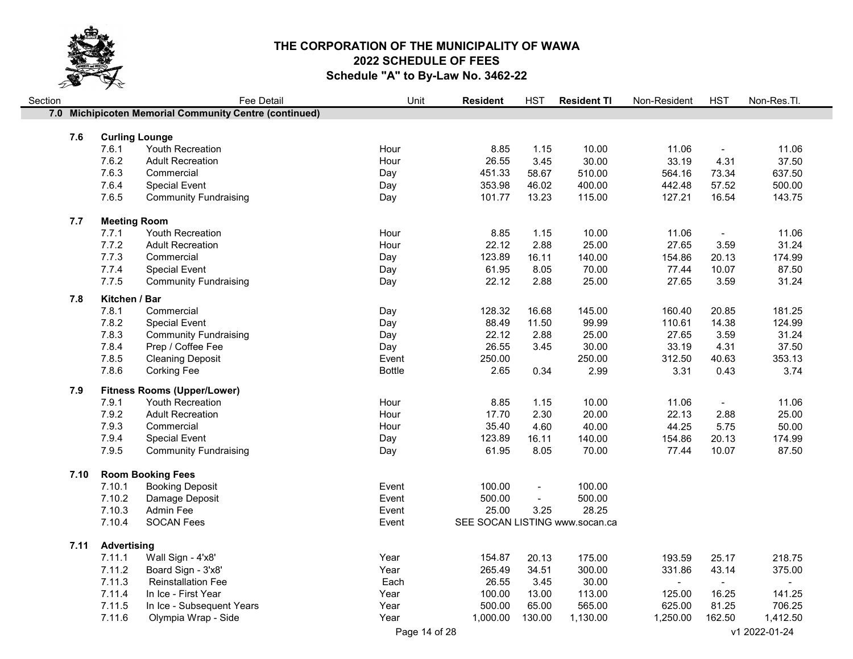

| Section |      |                       | Fee Detail                                             | Unit          | <b>Resident</b>                | <b>HST</b>               | <b>Resident TI</b> | Non-Resident | <b>HST</b>     | Non-Res.Tl.    |
|---------|------|-----------------------|--------------------------------------------------------|---------------|--------------------------------|--------------------------|--------------------|--------------|----------------|----------------|
|         |      |                       | 7.0 Michipicoten Memorial Community Centre (continued) |               |                                |                          |                    |              |                |                |
|         |      |                       |                                                        |               |                                |                          |                    |              |                |                |
|         | 7.6  | <b>Curling Lounge</b> |                                                        |               |                                |                          |                    |              |                |                |
|         |      | 7.6.1                 | Youth Recreation                                       | Hour          | 8.85                           | 1.15                     | 10.00              | 11.06        | $\blacksquare$ | 11.06          |
|         |      | 7.6.2                 | <b>Adult Recreation</b>                                | Hour          | 26.55                          | 3.45                     | 30.00              | 33.19        | 4.31           | 37.50          |
|         |      | 7.6.3                 | Commercial                                             | Day           | 451.33                         | 58.67                    | 510.00             | 564.16       | 73.34          | 637.50         |
|         |      | 7.6.4                 | <b>Special Event</b>                                   | Day           | 353.98                         | 46.02                    | 400.00             | 442.48       | 57.52          | 500.00         |
|         |      | 7.6.5                 | <b>Community Fundraising</b>                           | Day           | 101.77                         | 13.23                    | 115.00             | 127.21       | 16.54          | 143.75         |
|         | 7.7  | <b>Meeting Room</b>   |                                                        |               |                                |                          |                    |              |                |                |
|         |      | 7.7.1                 | Youth Recreation                                       | Hour          | 8.85                           | 1.15                     | 10.00              | 11.06        | $\blacksquare$ | 11.06          |
|         |      | 7.7.2                 | <b>Adult Recreation</b>                                | Hour          | 22.12                          | 2.88                     | 25.00              | 27.65        | 3.59           | 31.24          |
|         |      | 7.7.3                 | Commercial                                             | Day           | 123.89                         | 16.11                    | 140.00             | 154.86       | 20.13          | 174.99         |
|         |      | 7.7.4                 | <b>Special Event</b>                                   | Day           | 61.95                          | 8.05                     | 70.00              | 77.44        | 10.07          | 87.50          |
|         |      | 7.7.5                 | <b>Community Fundraising</b>                           | Day           | 22.12                          | 2.88                     | 25.00              | 27.65        | 3.59           | 31.24          |
|         | 7.8  | Kitchen / Bar         |                                                        |               |                                |                          |                    |              |                |                |
|         |      | 7.8.1                 | Commercial                                             | Day           | 128.32                         | 16.68                    | 145.00             | 160.40       | 20.85          | 181.25         |
|         |      | 7.8.2                 | <b>Special Event</b>                                   | Day           | 88.49                          | 11.50                    | 99.99              | 110.61       | 14.38          | 124.99         |
|         |      | 7.8.3                 | <b>Community Fundraising</b>                           | Day           | 22.12                          | 2.88                     | 25.00              | 27.65        | 3.59           | 31.24          |
|         |      | 7.8.4                 | Prep / Coffee Fee                                      | Day           | 26.55                          | 3.45                     | 30.00              | 33.19        | 4.31           | 37.50          |
|         |      | 7.8.5                 | <b>Cleaning Deposit</b>                                | Event         | 250.00                         |                          | 250.00             | 312.50       | 40.63          | 353.13         |
|         |      | 7.8.6                 | <b>Corking Fee</b>                                     | <b>Bottle</b> | 2.65                           | 0.34                     | 2.99               | 3.31         | 0.43           | 3.74           |
|         |      |                       |                                                        |               |                                |                          |                    |              |                |                |
|         | 7.9  |                       | <b>Fitness Rooms (Upper/Lower)</b>                     |               |                                |                          |                    |              |                |                |
|         |      | 7.9.1                 | Youth Recreation                                       | Hour          | 8.85                           | 1.15                     | 10.00              | 11.06        | $\blacksquare$ | 11.06          |
|         |      | 7.9.2                 | <b>Adult Recreation</b>                                | Hour          | 17.70                          | 2.30                     | 20.00              | 22.13        | 2.88           | 25.00          |
|         |      | 7.9.3                 | Commercial                                             | Hour          | 35.40                          | 4.60                     | 40.00              | 44.25        | 5.75           | 50.00          |
|         |      | 7.9.4                 | <b>Special Event</b>                                   | Day           | 123.89                         | 16.11                    | 140.00             | 154.86       | 20.13          | 174.99         |
|         |      | 7.9.5                 | <b>Community Fundraising</b>                           | Day           | 61.95                          | 8.05                     | 70.00              | 77.44        | 10.07          | 87.50          |
|         | 7.10 |                       | <b>Room Booking Fees</b>                               |               |                                |                          |                    |              |                |                |
|         |      | 7.10.1                | <b>Booking Deposit</b>                                 | Event         | 100.00                         | $\overline{\phantom{a}}$ | 100.00             |              |                |                |
|         |      | 7.10.2                | Damage Deposit                                         | Event         | 500.00                         | $\overline{a}$           | 500.00             |              |                |                |
|         |      | 7.10.3                | Admin Fee                                              | Event         | 25.00                          | 3.25                     | 28.25              |              |                |                |
|         |      | 7.10.4                | <b>SOCAN Fees</b>                                      | Event         | SEE SOCAN LISTING www.socan.ca |                          |                    |              |                |                |
|         |      |                       |                                                        |               |                                |                          |                    |              |                |                |
|         | 7.11 | <b>Advertising</b>    |                                                        |               |                                |                          |                    |              |                |                |
|         |      | 7.11.1                | Wall Sign - 4'x8'                                      | Year          | 154.87                         | 20.13                    | 175.00             | 193.59       | 25.17          | 218.75         |
|         |      | 7.11.2                | Board Sign - 3'x8'                                     | Year          | 265.49                         | 34.51                    | 300.00             | 331.86       | 43.14          | 375.00         |
|         |      | 7.11.3                | <b>Reinstallation Fee</b>                              | Each          | 26.55                          | 3.45                     | 30.00              | $\sim$       | $\blacksquare$ | $\blacksquare$ |
|         |      | 7.11.4                | In Ice - First Year                                    | Year          | 100.00                         | 13.00                    | 113.00             | 125.00       | 16.25          | 141.25         |
|         |      | 7.11.5                | In Ice - Subsequent Years                              | Year          | 500.00                         | 65.00                    | 565.00             | 625.00       | 81.25          | 706.25         |
|         |      | 7.11.6                | Olympia Wrap - Side                                    | Year          | 1,000.00                       | 130.00                   | 1,130.00           | 1,250.00     | 162.50         | 1,412.50       |
|         |      |                       |                                                        | Page 14 of 28 |                                |                          |                    |              |                | v1 2022-01-24  |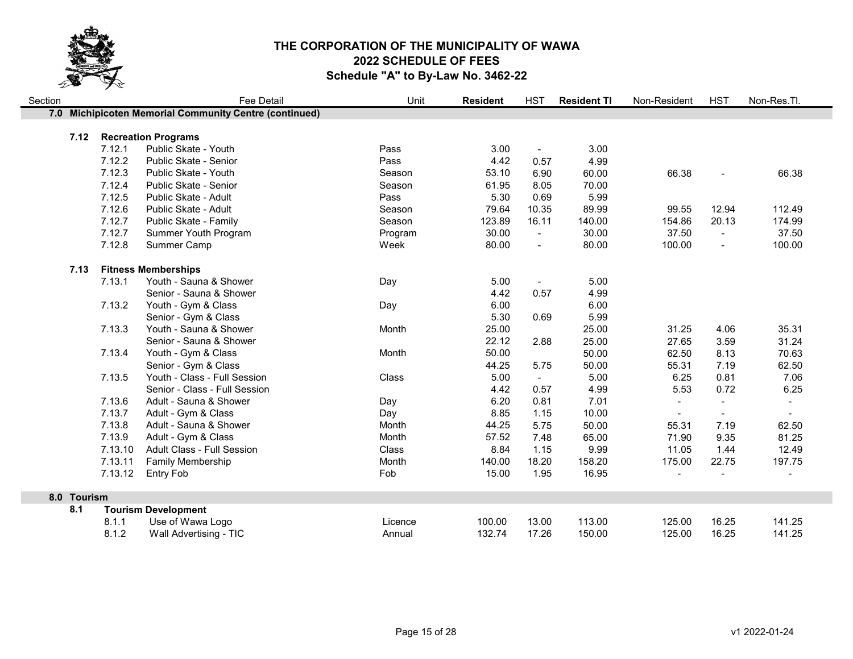

8.0 Tourism

| Section | <b>Fee Detail</b> |         |                                                        | Unit    | <b>Resident</b> | <b>HST</b>     | <b>Resident TI</b> | Non-Resident | <b>HST</b>     | Non-Res.Tl.    |
|---------|-------------------|---------|--------------------------------------------------------|---------|-----------------|----------------|--------------------|--------------|----------------|----------------|
|         |                   |         | 7.0 Michipicoten Memorial Community Centre (continued) |         |                 |                |                    |              |                |                |
|         | 7.12              |         | <b>Recreation Programs</b>                             |         |                 |                |                    |              |                |                |
|         |                   | 7.12.1  | Public Skate - Youth                                   | Pass    | 3.00            | $\blacksquare$ | 3.00               |              |                |                |
|         |                   | 7.12.2  | Public Skate - Senior                                  | Pass    | 4.42            | 0.57           | 4.99               |              |                |                |
|         |                   | 7.12.3  | Public Skate - Youth                                   | Season  | 53.10           | 6.90           | 60.00              | 66.38        |                | 66.38          |
|         |                   | 7.12.4  | Public Skate - Senior                                  | Season  | 61.95           | 8.05           | 70.00              |              |                |                |
|         |                   | 7.12.5  | Public Skate - Adult                                   | Pass    | 5.30            | 0.69           | 5.99               |              |                |                |
|         |                   | 7.12.6  | Public Skate - Adult                                   | Season  | 79.64           | 10.35          | 89.99              | 99.55        | 12.94          | 112.49         |
|         |                   | 7.12.7  | Public Skate - Family                                  | Season  | 123.89          | 16.11          | 140.00             | 154.86       | 20.13          | 174.99         |
|         |                   | 7.12.7  | Summer Youth Program                                   | Program | 30.00           | $\blacksquare$ | 30.00              | 37.50        | $\blacksquare$ | 37.50          |
|         |                   | 7.12.8  | Summer Camp                                            | Week    | 80.00           | $\overline{a}$ | 80.00              | 100.00       | $\overline{a}$ | 100.00         |
|         | 7.13              |         | <b>Fitness Memberships</b>                             |         |                 |                |                    |              |                |                |
|         |                   | 7.13.1  | Youth - Sauna & Shower                                 | Day     | 5.00            | $\blacksquare$ | 5.00               |              |                |                |
|         |                   |         | Senior - Sauna & Shower                                |         | 4.42            | 0.57           | 4.99               |              |                |                |
|         |                   | 7.13.2  | Youth - Gym & Class                                    | Day     | 6.00            |                | 6.00               |              |                |                |
|         |                   |         | Senior - Gym & Class                                   |         | 5.30            | 0.69           | 5.99               |              |                |                |
|         |                   | 7.13.3  | Youth - Sauna & Shower                                 | Month   | 25.00           |                | 25.00              | 31.25        | 4.06           | 35.31          |
|         |                   |         | Senior - Sauna & Shower                                |         | 22.12           | 2.88           | 25.00              | 27.65        | 3.59           | 31.24          |
|         |                   | 7.13.4  | Youth - Gym & Class                                    | Month   | 50.00           |                | 50.00              | 62.50        | 8.13           | 70.63          |
|         |                   |         | Senior - Gym & Class                                   |         | 44.25           | 5.75           | 50.00              | 55.31        | 7.19           | 62.50          |
|         |                   | 7.13.5  | Youth - Class - Full Session                           | Class   | 5.00            | $\sim$         | 5.00               | 6.25         | 0.81           | 7.06           |
|         |                   |         | Senior - Class - Full Session                          |         | 4.42            | 0.57           | 4.99               | 5.53         | 0.72           | 6.25           |
|         |                   | 7.13.6  | Adult - Sauna & Shower                                 | Day     | 6.20            | 0.81           | 7.01               | $\sim$       | $\blacksquare$ | $\blacksquare$ |
|         |                   | 7.13.7  | Adult - Gym & Class                                    | Day     | 8.85            | 1.15           | 10.00              |              |                |                |
|         |                   | 7.13.8  | Adult - Sauna & Shower                                 | Month   | 44.25           | 5.75           | 50.00              | 55.31        | 7.19           | 62.50          |
|         |                   | 7.13.9  | Adult - Gym & Class                                    | Month   | 57.52           | 7.48           | 65.00              | 71.90        | 9.35           | 81.25          |
|         |                   | 7.13.10 | Adult Class - Full Session                             | Class   | 8.84            | 1.15           | 9.99               | 11.05        | 1.44           | 12.49          |
|         |                   | 7.13.11 | <b>Family Membership</b>                               | Month   | 140.00          | 18.20          | 158.20             | 175.00       | 22.75          | 197.75         |
|         |                   | 7.13.12 | <b>Entry Fob</b>                                       | Fob     | 15.00           | 1.95           | 16.95              |              |                |                |
|         | 8.0 Tourism       |         |                                                        |         |                 |                |                    |              |                |                |
|         | 8.1               |         | <b>Tourism Development</b>                             |         |                 |                |                    |              |                |                |
|         |                   | 8.1.1   | Use of Wawa Logo                                       | Licence | 100.00          | 13.00          | 113.00             | 125.00       | 16.25          | 141.25         |
|         |                   | 8.1.2   | Wall Advertising - TIC                                 | Annual  | 132.74          | 17.26          | 150.00             | 125.00       | 16.25          | 141.25         |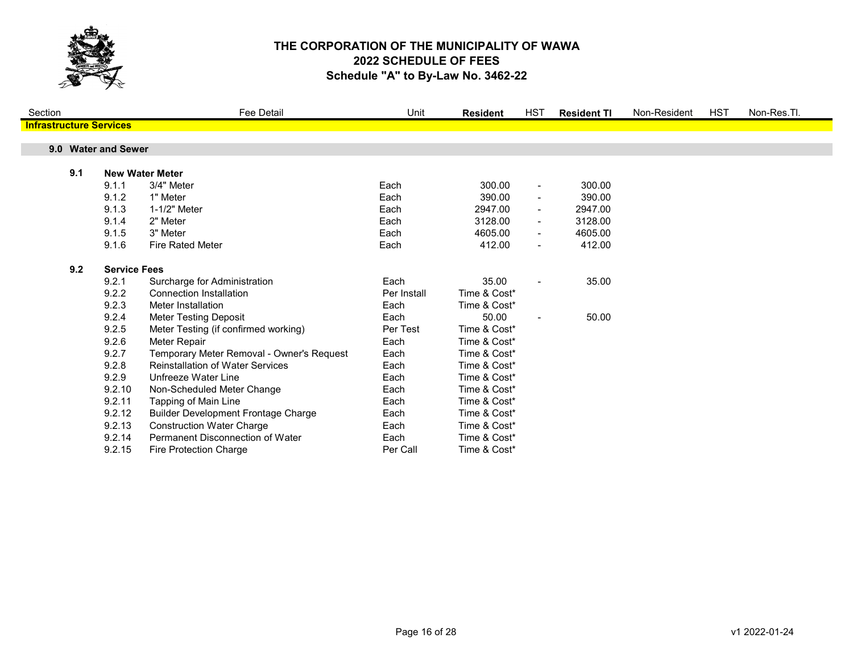

| Section                        |                     |                     | <b>Fee Detail</b>                          | Unit        | <b>Resident</b> | <b>HST</b>     | <b>Resident TI</b> | Non-Resident | <b>HST</b> | Non-Res.Tl. |
|--------------------------------|---------------------|---------------------|--------------------------------------------|-------------|-----------------|----------------|--------------------|--------------|------------|-------------|
| <b>Infrastructure Services</b> |                     |                     |                                            |             |                 |                |                    |              |            |             |
|                                |                     |                     |                                            |             |                 |                |                    |              |            |             |
|                                | 9.0 Water and Sewer |                     |                                            |             |                 |                |                    |              |            |             |
|                                |                     |                     |                                            |             |                 |                |                    |              |            |             |
| 9.1                            |                     |                     | <b>New Water Meter</b>                     |             |                 |                |                    |              |            |             |
|                                |                     | 9.1.1               | 3/4" Meter                                 | Each        | 300.00          | $\blacksquare$ | 300.00             |              |            |             |
|                                |                     | 9.1.2               | 1" Meter                                   | Each        | 390.00          |                | 390.00             |              |            |             |
|                                |                     | 9.1.3               | 1-1/2" Meter                               | Each        | 2947.00         |                | 2947.00            |              |            |             |
|                                |                     | 9.1.4               | 2" Meter                                   | Each        | 3128.00         |                | 3128.00            |              |            |             |
|                                |                     | 9.1.5               | 3" Meter                                   | Each        | 4605.00         |                | 4605.00            |              |            |             |
|                                |                     | 9.1.6               | <b>Fire Rated Meter</b>                    | Each        | 412.00          | $\blacksquare$ | 412.00             |              |            |             |
|                                | 9.2                 | <b>Service Fees</b> |                                            |             |                 |                |                    |              |            |             |
|                                |                     | 9.2.1               | Surcharge for Administration               | Each        | 35.00           |                | 35.00              |              |            |             |
|                                |                     | 9.2.2               | <b>Connection Installation</b>             | Per Install | Time & Cost*    |                |                    |              |            |             |
|                                |                     | 9.2.3               | Meter Installation                         | Each        | Time & Cost*    |                |                    |              |            |             |
|                                |                     | 9.2.4               | <b>Meter Testing Deposit</b>               | Each        | 50.00           |                | 50.00              |              |            |             |
|                                |                     | 9.2.5               | Meter Testing (if confirmed working)       | Per Test    | Time & Cost*    |                |                    |              |            |             |
|                                |                     | 9.2.6               | Meter Repair                               | Each        | Time & Cost*    |                |                    |              |            |             |
|                                |                     | 9.2.7               | Temporary Meter Removal - Owner's Request  | Each        | Time & Cost*    |                |                    |              |            |             |
|                                |                     |                     | <b>Reinstallation of Water Services</b>    |             |                 |                |                    |              |            |             |
|                                |                     | 9.2.8               |                                            | Each        | Time & Cost*    |                |                    |              |            |             |
|                                |                     | 9.2.9               | Unfreeze Water Line                        | Each        | Time & Cost*    |                |                    |              |            |             |
|                                |                     | 9.2.10              | Non-Scheduled Meter Change                 | Each        | Time & Cost*    |                |                    |              |            |             |
|                                |                     | 9.2.11              | Tapping of Main Line                       | Each        | Time & Cost*    |                |                    |              |            |             |
|                                |                     | 9.2.12              | <b>Builder Development Frontage Charge</b> | Each        | Time & Cost*    |                |                    |              |            |             |
|                                |                     | 9.2.13              | <b>Construction Water Charge</b>           | Each        | Time & Cost*    |                |                    |              |            |             |
|                                |                     | 9.2.14              | Permanent Disconnection of Water           | Each        | Time & Cost*    |                |                    |              |            |             |
|                                |                     | 9.2.15              | <b>Fire Protection Charge</b>              | Per Call    | Time & Cost*    |                |                    |              |            |             |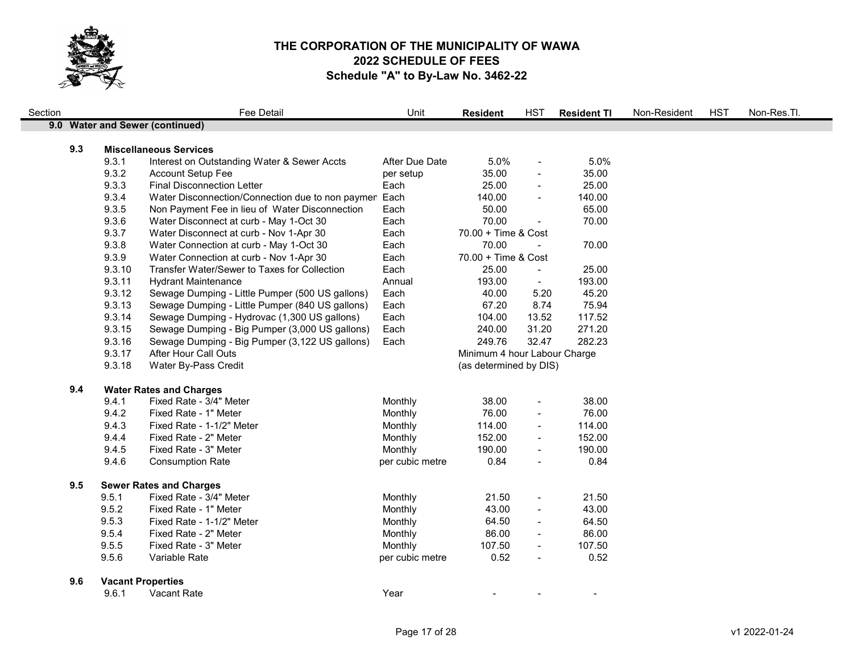

| Section |     |                          | Fee Detail                                            | Unit            | <b>Resident</b>              | <b>HST</b>               | <b>Resident TI</b> | Non-Resident | <b>HST</b> | Non-Res.Tl. |
|---------|-----|--------------------------|-------------------------------------------------------|-----------------|------------------------------|--------------------------|--------------------|--------------|------------|-------------|
|         |     |                          | 9.0 Water and Sewer (continued)                       |                 |                              |                          |                    |              |            |             |
|         |     |                          |                                                       |                 |                              |                          |                    |              |            |             |
|         | 9.3 |                          | <b>Miscellaneous Services</b>                         |                 |                              |                          |                    |              |            |             |
|         |     | 9.3.1                    | Interest on Outstanding Water & Sewer Accts           | After Due Date  | 5.0%                         | $\overline{\phantom{a}}$ | 5.0%               |              |            |             |
|         |     | 9.3.2                    | Account Setup Fee                                     | per setup       | 35.00                        | $\frac{1}{2}$            | 35.00              |              |            |             |
|         |     | 9.3.3                    | <b>Final Disconnection Letter</b>                     | Each            | 25.00                        | $\overline{a}$           | 25.00              |              |            |             |
|         |     | 9.3.4                    | Water Disconnection/Connection due to non paymen Each |                 | 140.00                       |                          | 140.00             |              |            |             |
|         |     | 9.3.5                    | Non Payment Fee in lieu of Water Disconnection        | Each            | 50.00                        |                          | 65.00              |              |            |             |
|         |     | 9.3.6                    | Water Disconnect at curb - May 1-Oct 30               | Each            | 70.00                        | $\overline{\phantom{a}}$ | 70.00              |              |            |             |
|         |     | 9.3.7                    | Water Disconnect at curb - Nov 1-Apr 30               | Each            | 70.00 + Time & Cost          |                          |                    |              |            |             |
|         |     | 9.3.8                    | Water Connection at curb - May 1-Oct 30               | Each            | 70.00                        |                          | 70.00              |              |            |             |
|         |     | 9.3.9                    | Water Connection at curb - Nov 1-Apr 30               | Each            | 70.00 + Time & Cost          |                          |                    |              |            |             |
|         |     | 9.3.10                   | Transfer Water/Sewer to Taxes for Collection          | Each            | 25.00                        | $\blacksquare$           | 25.00              |              |            |             |
|         |     | 9.3.11                   | <b>Hydrant Maintenance</b>                            | Annual          | 193.00                       | $\blacksquare$           | 193.00             |              |            |             |
|         |     | 9.3.12                   | Sewage Dumping - Little Pumper (500 US gallons)       | Each            | 40.00                        | 5.20                     | 45.20              |              |            |             |
|         |     | 9.3.13                   | Sewage Dumping - Little Pumper (840 US gallons)       | Each            | 67.20                        | 8.74                     | 75.94              |              |            |             |
|         |     | 9.3.14                   | Sewage Dumping - Hydrovac (1,300 US gallons)          | Each            | 104.00                       | 13.52                    | 117.52             |              |            |             |
|         |     | 9.3.15                   | Sewage Dumping - Big Pumper (3,000 US gallons)        | Each            | 240.00                       | 31.20                    | 271.20             |              |            |             |
|         |     | 9.3.16                   | Sewage Dumping - Big Pumper (3,122 US gallons)        | Each            | 249.76                       | 32.47                    | 282.23             |              |            |             |
|         |     | 9.3.17                   | After Hour Call Outs                                  |                 | Minimum 4 hour Labour Charge |                          |                    |              |            |             |
|         |     | 9.3.18                   | Water By-Pass Credit                                  |                 | (as determined by DIS)       |                          |                    |              |            |             |
|         | 9.4 |                          | <b>Water Rates and Charges</b>                        |                 |                              |                          |                    |              |            |             |
|         |     | 9.4.1                    | Fixed Rate - 3/4" Meter                               | Monthly         | 38.00                        | $\overline{\phantom{a}}$ | 38.00              |              |            |             |
|         |     | 9.4.2                    | Fixed Rate - 1" Meter                                 | Monthly         | 76.00                        | $\frac{1}{2}$            | 76.00              |              |            |             |
|         |     | 9.4.3                    | Fixed Rate - 1-1/2" Meter                             | Monthly         | 114.00                       | $\frac{1}{2}$            | 114.00             |              |            |             |
|         |     | 9.4.4                    | Fixed Rate - 2" Meter                                 | Monthly         | 152.00                       | $\overline{\phantom{a}}$ | 152.00             |              |            |             |
|         |     | 9.4.5                    | Fixed Rate - 3" Meter                                 | Monthly         | 190.00                       |                          | 190.00             |              |            |             |
|         |     | 9.4.6                    | <b>Consumption Rate</b>                               | per cubic metre | 0.84                         | $\blacksquare$           | 0.84               |              |            |             |
|         | 9.5 |                          | <b>Sewer Rates and Charges</b>                        |                 |                              |                          |                    |              |            |             |
|         |     | 9.5.1                    | Fixed Rate - 3/4" Meter                               | Monthly         | 21.50                        | $\overline{\phantom{a}}$ | 21.50              |              |            |             |
|         |     | 9.5.2                    | Fixed Rate - 1" Meter                                 | Monthly         | 43.00                        | $\overline{\phantom{a}}$ | 43.00              |              |            |             |
|         |     | 9.5.3                    | Fixed Rate - 1-1/2" Meter                             | Monthly         | 64.50                        | $\overline{a}$           | 64.50              |              |            |             |
|         |     | 9.5.4                    | Fixed Rate - 2" Meter                                 | Monthly         | 86.00                        | $\blacksquare$           | 86.00              |              |            |             |
|         |     | 9.5.5                    | Fixed Rate - 3" Meter                                 | Monthly         | 107.50                       | $\blacksquare$           | 107.50             |              |            |             |
|         |     | 9.5.6                    | Variable Rate                                         | per cubic metre | 0.52                         | $\overline{\phantom{a}}$ | 0.52               |              |            |             |
|         |     |                          |                                                       |                 |                              |                          |                    |              |            |             |
|         | 9.6 | <b>Vacant Properties</b> |                                                       |                 |                              |                          |                    |              |            |             |
|         |     | 9.6.1                    | <b>Vacant Rate</b>                                    | Year            |                              |                          |                    |              |            |             |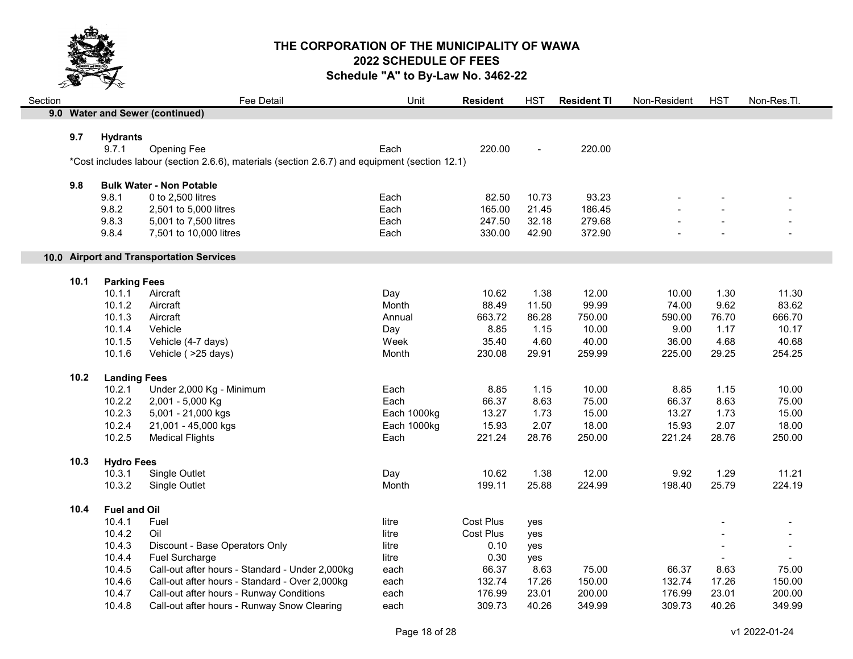

| Section |      |                     | Fee Detail                                                                                    | Unit        | <b>Resident</b>  | <b>HST</b>    | <b>Resident TI</b> | Non-Resident | <b>HST</b> | Non-Res.Tl. |
|---------|------|---------------------|-----------------------------------------------------------------------------------------------|-------------|------------------|---------------|--------------------|--------------|------------|-------------|
|         |      |                     | 9.0 Water and Sewer (continued)                                                               |             |                  |               |                    |              |            |             |
|         |      |                     |                                                                                               |             |                  |               |                    |              |            |             |
|         | 9.7  | <b>Hydrants</b>     |                                                                                               |             |                  |               |                    |              |            |             |
|         |      | 9.7.1               | Opening Fee                                                                                   | Each        | 220.00           |               | 220.00             |              |            |             |
|         |      |                     | *Cost includes labour (section 2.6.6), materials (section 2.6.7) and equipment (section 12.1) |             |                  |               |                    |              |            |             |
|         | 9.8  |                     | <b>Bulk Water - Non Potable</b>                                                               |             |                  |               |                    |              |            |             |
|         |      | 9.8.1               | 0 to 2,500 litres                                                                             | Each        | 82.50            | 10.73         | 93.23              |              |            |             |
|         |      | 9.8.2               | 2,501 to 5,000 litres                                                                         | Each        | 165.00           | 21.45         | 186.45             |              |            |             |
|         |      | 9.8.3               | 5,001 to 7,500 litres                                                                         | Each        | 247.50           | 32.18         | 279.68             |              |            |             |
|         |      | 9.8.4               | 7,501 to 10,000 litres                                                                        | Each        | 330.00           | 42.90         | 372.90             |              |            |             |
|         |      |                     |                                                                                               |             |                  |               |                    |              |            |             |
|         |      |                     | 10.0 Airport and Transportation Services                                                      |             |                  |               |                    |              |            |             |
|         |      |                     |                                                                                               |             |                  |               |                    |              |            |             |
|         | 10.1 | <b>Parking Fees</b> |                                                                                               |             |                  |               |                    |              |            |             |
|         |      | 10.1.1              | Aircraft                                                                                      | Day         | 10.62            | 1.38          | 12.00              | 10.00        | 1.30       | 11.30       |
|         |      | 10.1.2              | Aircraft                                                                                      | Month       | 88.49            | 11.50         | 99.99              | 74.00        | 9.62       | 83.62       |
|         |      | 10.1.3              | Aircraft                                                                                      | Annual      | 663.72           | 86.28         | 750.00             | 590.00       | 76.70      | 666.70      |
|         |      | 10.1.4              | Vehicle                                                                                       | Day         | 8.85             | 1.15          | 10.00              | 9.00         | 1.17       | 10.17       |
|         |      | 10.1.5              | Vehicle (4-7 days)                                                                            | Week        | 35.40            | 4.60          | 40.00              | 36.00        | 4.68       | 40.68       |
|         |      | 10.1.6              | Vehicle ( > 25 days)                                                                          | Month       | 230.08           | 29.91         | 259.99             | 225.00       | 29.25      | 254.25      |
|         | 10.2 | <b>Landing Fees</b> |                                                                                               |             |                  |               |                    |              |            |             |
|         |      | 10.2.1              | Under 2,000 Kg - Minimum                                                                      | Each        | 8.85             | 1.15          | 10.00              | 8.85         | 1.15       | 10.00       |
|         |      | 10.2.2              | 2,001 - 5,000 Kg                                                                              | Each        | 66.37            | 8.63          | 75.00              | 66.37        | 8.63       | 75.00       |
|         |      | 10.2.3              | 5,001 - 21,000 kgs                                                                            | Each 1000kg | 13.27            | 1.73          | 15.00              | 13.27        | 1.73       | 15.00       |
|         |      | 10.2.4              | 21,001 - 45,000 kgs                                                                           | Each 1000kg | 15.93            | 2.07          | 18.00              | 15.93        | 2.07       | 18.00       |
|         |      | 10.2.5              | <b>Medical Flights</b>                                                                        | Each        | 221.24           | 28.76         | 250.00             | 221.24       | 28.76      | 250.00      |
|         |      |                     |                                                                                               |             |                  |               |                    |              |            |             |
|         | 10.3 | <b>Hydro Fees</b>   |                                                                                               |             | 10.62            |               |                    | 9.92         |            |             |
|         |      | 10.3.1              | Single Outlet                                                                                 | Day         | 199.11           | 1.38<br>25.88 | 12.00<br>224.99    |              | 1.29       | 11.21       |
|         |      | 10.3.2              | Single Outlet                                                                                 | Month       |                  |               |                    | 198.40       | 25.79      | 224.19      |
|         | 10.4 | <b>Fuel and Oil</b> |                                                                                               |             |                  |               |                    |              |            |             |
|         |      | 10.4.1              | Fuel                                                                                          | litre       | <b>Cost Plus</b> | yes           |                    |              |            |             |
|         |      | 10.4.2              | Oil                                                                                           | litre       | <b>Cost Plus</b> | yes           |                    |              |            |             |
|         |      | 10.4.3              | Discount - Base Operators Only                                                                | litre       | 0.10             | yes           |                    |              |            |             |
|         |      | 10.4.4              | Fuel Surcharge                                                                                | litre       | 0.30             | yes           |                    |              |            |             |
|         |      | 10.4.5              | Call-out after hours - Standard - Under 2,000kg                                               | each        | 66.37            | 8.63          | 75.00              | 66.37        | 8.63       | 75.00       |
|         |      |                     |                                                                                               |             |                  |               |                    |              |            |             |
|         |      | 10.4.6              | Call-out after hours - Standard - Over 2,000kg                                                | each        | 132.74           | 17.26         | 150.00             | 132.74       | 17.26      | 150.00      |
|         |      | 10.4.7              | Call-out after hours - Runway Conditions                                                      | each        | 176.99           | 23.01         | 200.00             | 176.99       | 23.01      | 200.00      |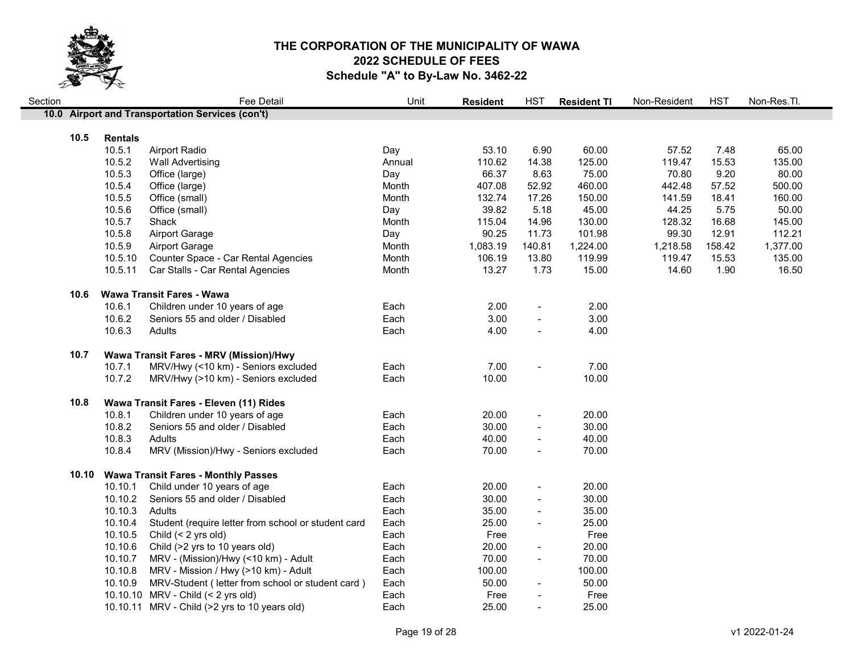

| Section |       |                | <b>Fee Detail</b>                                   | Unit   | <b>Resident</b> | <b>HST</b>               | <b>Resident TI</b> | Non-Resident | <b>HST</b> | Non-Res.Tl. |
|---------|-------|----------------|-----------------------------------------------------|--------|-----------------|--------------------------|--------------------|--------------|------------|-------------|
|         |       |                | 10.0 Airport and Transportation Services (con't)    |        |                 |                          |                    |              |            |             |
|         |       |                |                                                     |        |                 |                          |                    |              |            |             |
|         | 10.5  | <b>Rentals</b> |                                                     |        |                 |                          |                    |              |            |             |
|         |       | 10.5.1         | <b>Airport Radio</b>                                | Day    | 53.10           | 6.90                     | 60.00              | 57.52        | 7.48       | 65.00       |
|         |       | 10.5.2         | <b>Wall Advertising</b>                             | Annual | 110.62          | 14.38                    | 125.00             | 119.47       | 15.53      | 135.00      |
|         |       | 10.5.3         | Office (large)                                      | Day    | 66.37           | 8.63                     | 75.00              | 70.80        | 9.20       | 80.00       |
|         |       | 10.5.4         | Office (large)                                      | Month  | 407.08          | 52.92                    | 460.00             | 442.48       | 57.52      | 500.00      |
|         |       | 10.5.5         | Office (small)                                      | Month  | 132.74          | 17.26                    | 150.00             | 141.59       | 18.41      | 160.00      |
|         |       | 10.5.6         | Office (small)                                      | Day    | 39.82           | 5.18                     | 45.00              | 44.25        | 5.75       | 50.00       |
|         |       | 10.5.7         | Shack                                               | Month  | 115.04          | 14.96                    | 130.00             | 128.32       | 16.68      | 145.00      |
|         |       | 10.5.8         | <b>Airport Garage</b>                               | Day    | 90.25           | 11.73                    | 101.98             | 99.30        | 12.91      | 112.21      |
|         |       | 10.5.9         | <b>Airport Garage</b>                               | Month  | 1,083.19        | 140.81                   | 1,224.00           | 1,218.58     | 158.42     | 1,377.00    |
|         |       | 10.5.10        | Counter Space - Car Rental Agencies                 | Month  | 106.19          | 13.80                    | 119.99             | 119.47       | 15.53      | 135.00      |
|         |       | 10.5.11        | Car Stalls - Car Rental Agencies                    | Month  | 13.27           | 1.73                     | 15.00              | 14.60        | 1.90       | 16.50       |
|         | 10.6  |                | Wawa Transit Fares - Wawa                           |        |                 |                          |                    |              |            |             |
|         |       | 10.6.1         | Children under 10 years of age                      | Each   | 2.00            | $\overline{\phantom{a}}$ | 2.00               |              |            |             |
|         |       | 10.6.2         | Seniors 55 and older / Disabled                     | Each   | 3.00            |                          | 3.00               |              |            |             |
|         |       | 10.6.3         | Adults                                              | Each   | 4.00            |                          | 4.00               |              |            |             |
|         | 10.7  |                | Wawa Transit Fares - MRV (Mission)/Hwy              |        |                 |                          |                    |              |            |             |
|         |       | 10.7.1         | MRV/Hwy (<10 km) - Seniors excluded                 | Each   | 7.00            | $\blacksquare$           | 7.00               |              |            |             |
|         |       | 10.7.2         | MRV/Hwy (>10 km) - Seniors excluded                 | Each   | 10.00           |                          | 10.00              |              |            |             |
|         |       |                |                                                     |        |                 |                          |                    |              |            |             |
|         | 10.8  |                | Wawa Transit Fares - Eleven (11) Rides              |        |                 |                          |                    |              |            |             |
|         |       | 10.8.1         | Children under 10 years of age                      | Each   | 20.00           | $\overline{\phantom{a}}$ | 20.00              |              |            |             |
|         |       | 10.8.2         | Seniors 55 and older / Disabled                     | Each   | 30.00           |                          | 30.00              |              |            |             |
|         |       | 10.8.3         | Adults                                              | Each   | 40.00           | $\overline{\phantom{a}}$ | 40.00              |              |            |             |
|         |       | 10.8.4         | MRV (Mission)/Hwy - Seniors excluded                | Each   | 70.00           | $\overline{\phantom{a}}$ | 70.00              |              |            |             |
|         | 10.10 |                | <b>Wawa Transit Fares - Monthly Passes</b>          |        |                 |                          |                    |              |            |             |
|         |       | 10.10.1        | Child under 10 years of age                         | Each   | 20.00           | $\blacksquare$           | 20.00              |              |            |             |
|         |       | 10.10.2        | Seniors 55 and older / Disabled                     | Each   | 30.00           | $\sim$                   | 30.00              |              |            |             |
|         |       | 10.10.3        | Adults                                              | Each   | 35.00           |                          | 35.00              |              |            |             |
|         |       | 10.10.4        | Student (require letter from school or student card | Each   | 25.00           | $\blacksquare$           | 25.00              |              |            |             |
|         |       | 10.10.5        | Child (< 2 yrs old)                                 | Each   | Free            |                          | Free               |              |            |             |
|         |       | 10.10.6        | Child (>2 yrs to 10 years old)                      | Each   | 20.00           | $\overline{\phantom{a}}$ | 20.00              |              |            |             |
|         |       | 10.10.7        | MRV - (Mission)/Hwy (<10 km) - Adult                | Each   | 70.00           |                          | 70.00              |              |            |             |
|         |       | 10.10.8        | MRV - Mission / Hwy (>10 km) - Adult                | Each   | 100.00          |                          | 100.00             |              |            |             |
|         |       | 10.10.9        | MRV-Student (letter from school or student card)    | Each   | 50.00           |                          | 50.00              |              |            |             |
|         |       |                | 10.10.10 MRV - Child (< 2 yrs old)                  | Each   | Free            |                          | Free               |              |            |             |
|         |       |                | 10.10.11 MRV - Child (>2 yrs to 10 years old)       | Each   | 25.00           |                          | 25.00              |              |            |             |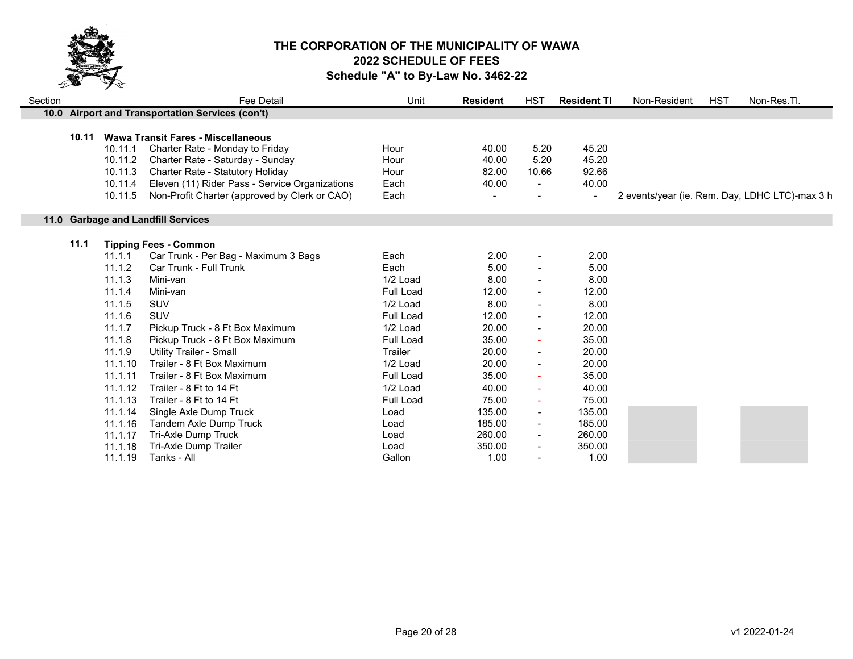

| Section |       |                                                     | Fee Detail                                                                                                                                                                                                                                              | Unit                                 | <b>Resident</b>                  | HST                             | <b>Resident TI</b>                                 | Non-Resident | <b>HST</b> | Non-Res.Tl.                                    |
|---------|-------|-----------------------------------------------------|---------------------------------------------------------------------------------------------------------------------------------------------------------------------------------------------------------------------------------------------------------|--------------------------------------|----------------------------------|---------------------------------|----------------------------------------------------|--------------|------------|------------------------------------------------|
|         |       |                                                     | 10.0 Airport and Transportation Services (con't)                                                                                                                                                                                                        |                                      |                                  |                                 |                                                    |              |            |                                                |
|         | 10.11 | 10.11.1<br>10.11.2<br>10.11.3<br>10.11.4<br>10.11.5 | <b>Wawa Transit Fares - Miscellaneous</b><br>Charter Rate - Monday to Friday<br>Charter Rate - Saturday - Sunday<br>Charter Rate - Statutory Holiday<br>Eleven (11) Rider Pass - Service Organizations<br>Non-Profit Charter (approved by Clerk or CAO) | Hour<br>Hour<br>Hour<br>Each<br>Each | 40.00<br>40.00<br>82.00<br>40.00 | 5.20<br>5.20<br>10.66<br>$\sim$ | 45.20<br>45.20<br>92.66<br>40.00<br>$\blacksquare$ |              |            | 2 events/year (ie. Rem. Day, LDHC LTC)-max 3 h |
|         |       |                                                     |                                                                                                                                                                                                                                                         |                                      |                                  |                                 |                                                    |              |            |                                                |
|         |       |                                                     | 11.0 Garbage and Landfill Services                                                                                                                                                                                                                      |                                      |                                  |                                 |                                                    |              |            |                                                |
|         | 11.1  |                                                     | <b>Tipping Fees - Common</b>                                                                                                                                                                                                                            |                                      |                                  |                                 |                                                    |              |            |                                                |
|         |       | 11.1.1                                              | Car Trunk - Per Bag - Maximum 3 Bags                                                                                                                                                                                                                    | Each                                 | 2.00                             |                                 | 2.00                                               |              |            |                                                |
|         |       | 11.1.2                                              | Car Trunk - Full Trunk                                                                                                                                                                                                                                  | Each                                 | 5.00                             |                                 | 5.00                                               |              |            |                                                |
|         |       | 11.1.3                                              | Mini-van                                                                                                                                                                                                                                                | 1/2 Load                             | 8.00                             |                                 | 8.00                                               |              |            |                                                |
|         |       | 11.1.4                                              | Mini-van                                                                                                                                                                                                                                                | <b>Full Load</b>                     | 12.00                            |                                 | 12.00                                              |              |            |                                                |
|         |       | 11.1.5                                              | <b>SUV</b>                                                                                                                                                                                                                                              | 1/2 Load                             | 8.00                             |                                 | 8.00                                               |              |            |                                                |
|         |       | 11.1.6                                              | SUV                                                                                                                                                                                                                                                     | <b>Full Load</b>                     | 12.00                            |                                 | 12.00                                              |              |            |                                                |
|         |       | 11.1.7                                              | Pickup Truck - 8 Ft Box Maximum                                                                                                                                                                                                                         | 1/2 Load                             | 20.00                            |                                 | 20.00                                              |              |            |                                                |
|         |       | 11.1.8                                              | Pickup Truck - 8 Ft Box Maximum                                                                                                                                                                                                                         | <b>Full Load</b>                     | 35.00                            |                                 | 35.00                                              |              |            |                                                |
|         |       | 11.1.9                                              | <b>Utility Trailer - Small</b>                                                                                                                                                                                                                          | Trailer                              | 20.00                            | $\blacksquare$                  | 20.00                                              |              |            |                                                |
|         |       | 11.1.10                                             | Trailer - 8 Ft Box Maximum                                                                                                                                                                                                                              | 1/2 Load                             | 20.00                            |                                 | 20.00                                              |              |            |                                                |
|         |       | 11.1.11                                             | Trailer - 8 Ft Box Maximum                                                                                                                                                                                                                              | Full Load                            | 35.00                            |                                 | 35.00                                              |              |            |                                                |
|         |       | 11.1.12                                             | Trailer - 8 Ft to 14 Ft                                                                                                                                                                                                                                 | 1/2 Load                             | 40.00                            |                                 | 40.00                                              |              |            |                                                |
|         |       | 11.1.13                                             | Trailer - 8 Ft to 14 Ft                                                                                                                                                                                                                                 | <b>Full Load</b>                     | 75.00                            | $\sim$                          | 75.00                                              |              |            |                                                |
|         |       | 11.1.14                                             | Single Axle Dump Truck                                                                                                                                                                                                                                  | Load                                 | 135.00                           | $\blacksquare$                  | 135.00                                             |              |            |                                                |
|         |       | 11.1.16                                             | <b>Tandem Axle Dump Truck</b>                                                                                                                                                                                                                           | Load                                 | 185.00                           |                                 | 185.00                                             |              |            |                                                |
|         |       | 11.1.17                                             | Tri-Axle Dump Truck                                                                                                                                                                                                                                     | Load                                 | 260.00                           |                                 | 260.00                                             |              |            |                                                |
|         |       | 11.1.18                                             | Tri-Axle Dump Trailer                                                                                                                                                                                                                                   | Load                                 | 350.00                           |                                 | 350.00                                             |              |            |                                                |
|         |       | 11.1.19                                             | Tanks - All                                                                                                                                                                                                                                             | Gallon                               | 1.00                             |                                 | 1.00                                               |              |            |                                                |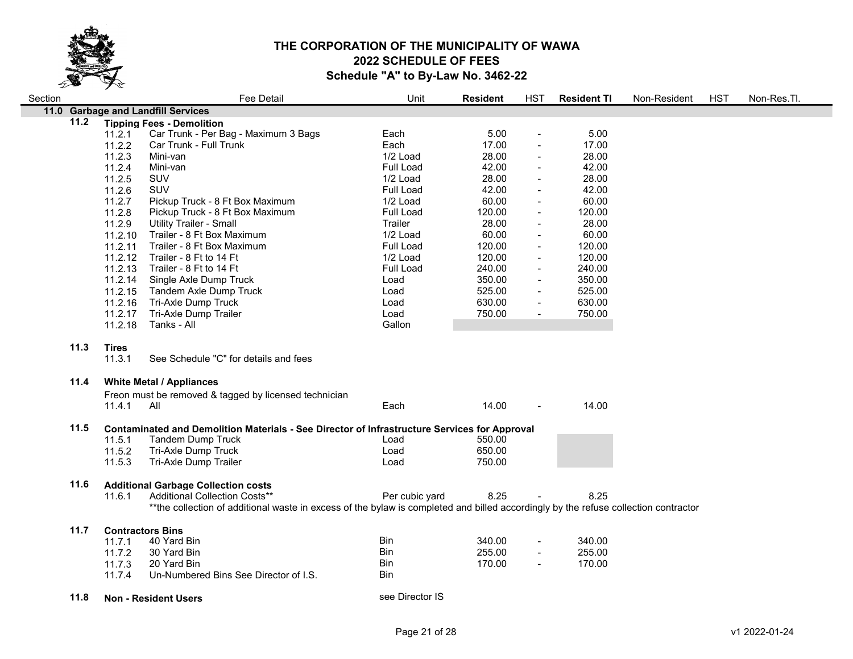

| Section |      | $\lambda$    | <b>Fee Detail</b>                                                                                                                   | Unit             | <b>Resident</b> | HST            | <b>Resident TI</b> | Non-Resident | <b>HST</b> | Non-Res.Tl. |
|---------|------|--------------|-------------------------------------------------------------------------------------------------------------------------------------|------------------|-----------------|----------------|--------------------|--------------|------------|-------------|
|         |      |              | 11.0 Garbage and Landfill Services                                                                                                  |                  |                 |                |                    |              |            |             |
|         | 11.2 |              | <b>Tipping Fees - Demolition</b>                                                                                                    |                  |                 |                |                    |              |            |             |
|         |      | 11.2.1       | Car Trunk - Per Bag - Maximum 3 Bags                                                                                                | Each             | 5.00            |                | 5.00               |              |            |             |
|         |      | 11.2.2       | Car Trunk - Full Trunk                                                                                                              | Each             | 17.00           |                | 17.00              |              |            |             |
|         |      | 11.2.3       | Mini-van                                                                                                                            | 1/2 Load         | 28.00           |                | 28.00              |              |            |             |
|         |      | 11.2.4       | Mini-van                                                                                                                            | Full Load        | 42.00           |                | 42.00              |              |            |             |
|         |      | 11.2.5       | <b>SUV</b>                                                                                                                          | 1/2 Load         | 28.00           |                | 28.00              |              |            |             |
|         |      | 11.2.6       | SUV                                                                                                                                 | Full Load        | 42.00           |                | 42.00              |              |            |             |
|         |      | 11.2.7       | Pickup Truck - 8 Ft Box Maximum                                                                                                     | 1/2 Load         | 60.00           | $\blacksquare$ | 60.00              |              |            |             |
|         |      | 11.2.8       | Pickup Truck - 8 Ft Box Maximum                                                                                                     | Full Load        | 120.00          | $\blacksquare$ | 120.00             |              |            |             |
|         |      | 11.2.9       | <b>Utility Trailer - Small</b>                                                                                                      | Trailer          | 28.00           |                | 28.00              |              |            |             |
|         |      | 11.2.10      | Trailer - 8 Ft Box Maximum                                                                                                          | 1/2 Load         | 60.00           | $\blacksquare$ | 60.00              |              |            |             |
|         |      | 11.2.11      | Trailer - 8 Ft Box Maximum                                                                                                          | <b>Full Load</b> | 120.00          | $\blacksquare$ | 120.00             |              |            |             |
|         |      | 11.2.12      | Trailer - 8 Ft to 14 Ft                                                                                                             | 1/2 Load         | 120.00          | $\blacksquare$ | 120.00             |              |            |             |
|         |      |              | 11.2.13 Trailer - 8 Ft to 14 Ft                                                                                                     | Full Load        | 240.00          | $\blacksquare$ | 240.00             |              |            |             |
|         |      |              | 11.2.14 Single Axle Dump Truck                                                                                                      | Load             | 350.00          |                | 350.00             |              |            |             |
|         |      | 11.2.15      | Tandem Axle Dump Truck                                                                                                              | Load             | 525.00          | $\blacksquare$ | 525.00             |              |            |             |
|         |      | 11.2.16      | Tri-Axle Dump Truck                                                                                                                 | Load             | 630.00          | $\blacksquare$ | 630.00             |              |            |             |
|         |      | 11.2.17      | Tri-Axle Dump Trailer                                                                                                               | Load             | 750.00          | $\blacksquare$ | 750.00             |              |            |             |
|         |      | 11.2.18      | Tanks - All                                                                                                                         | Gallon           |                 |                |                    |              |            |             |
|         |      |              |                                                                                                                                     |                  |                 |                |                    |              |            |             |
|         | 11.3 | <b>Tires</b> |                                                                                                                                     |                  |                 |                |                    |              |            |             |
|         |      | 11.3.1       | See Schedule "C" for details and fees                                                                                               |                  |                 |                |                    |              |            |             |
|         |      |              |                                                                                                                                     |                  |                 |                |                    |              |            |             |
|         | 11.4 |              | <b>White Metal / Appliances</b>                                                                                                     |                  |                 |                |                    |              |            |             |
|         |      |              | Freon must be removed & tagged by licensed technician                                                                               |                  |                 |                |                    |              |            |             |
|         |      | 11.4.1       | All                                                                                                                                 | Each             | 14.00           |                | 14.00              |              |            |             |
|         | 11.5 |              | Contaminated and Demolition Materials - See Director of Infrastructure Services for Approval                                        |                  |                 |                |                    |              |            |             |
|         |      | 11.5.1       | <b>Tandem Dump Truck</b>                                                                                                            | Load             | 550.00          |                |                    |              |            |             |
|         |      | 11.5.2       | Tri-Axle Dump Truck                                                                                                                 | Load             | 650.00          |                |                    |              |            |             |
|         |      | 11.5.3       | Tri-Axle Dump Trailer                                                                                                               | Load             | 750.00          |                |                    |              |            |             |
|         |      |              |                                                                                                                                     |                  |                 |                |                    |              |            |             |
|         | 11.6 |              | <b>Additional Garbage Collection costs</b>                                                                                          |                  |                 |                |                    |              |            |             |
|         |      | 11.6.1       | Additional Collection Costs**                                                                                                       | Per cubic yard   | 8.25            |                | 8.25               |              |            |             |
|         |      |              | **the collection of additional waste in excess of the bylaw is completed and billed accordingly by the refuse collection contractor |                  |                 |                |                    |              |            |             |
|         |      |              |                                                                                                                                     |                  |                 |                |                    |              |            |             |
|         | 11.7 |              | <b>Contractors Bins</b><br>40 Yard Bin                                                                                              | <b>Bin</b>       | 340.00          |                | 340.00             |              |            |             |
|         |      | 11.7.1       |                                                                                                                                     | <b>Bin</b>       | 255.00          |                | 255.00             |              |            |             |
|         |      | 11.7.2       | 30 Yard Bin                                                                                                                         | Bin              |                 | $\blacksquare$ |                    |              |            |             |
|         |      | 11.7.3       | 20 Yard Bin                                                                                                                         | Bin              | 170.00          |                | 170.00             |              |            |             |
|         |      | 11.7.4       | Un-Numbered Bins See Director of I.S.                                                                                               |                  |                 |                |                    |              |            |             |
|         | 11.8 |              | <b>Non - Resident Users</b>                                                                                                         | see Director IS  |                 |                |                    |              |            |             |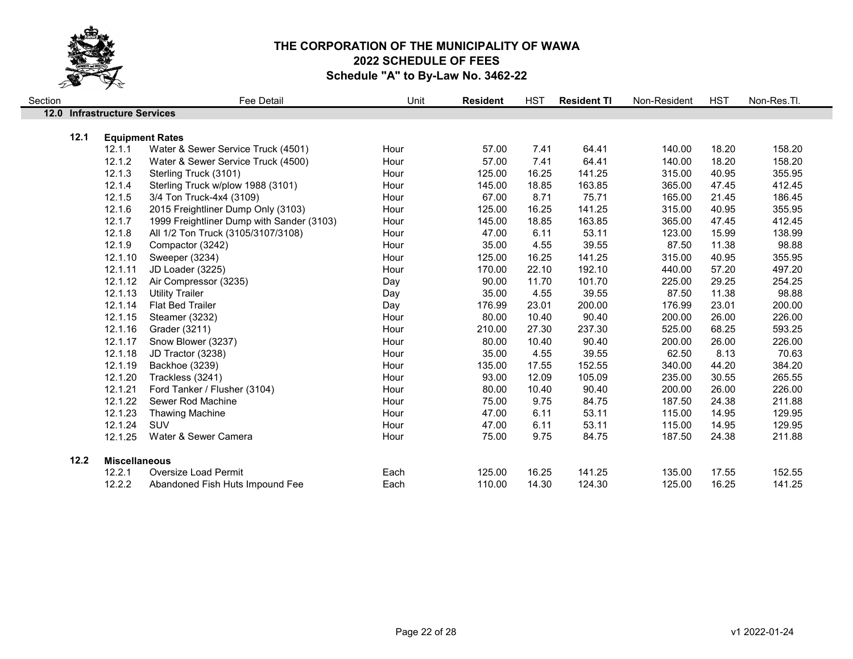

| Section |                                | <b>Fee Detail</b>                         | Unit | <b>Resident</b> | <b>HST</b> | <b>Resident TI</b> | Non-Resident | <b>HST</b> | Non-Res.Tl. |  |
|---------|--------------------------------|-------------------------------------------|------|-----------------|------------|--------------------|--------------|------------|-------------|--|
| 12.0    | <b>Infrastructure Services</b> |                                           |      |                 |            |                    |              |            |             |  |
|         | 12.1<br><b>Equipment Rates</b> |                                           |      |                 |            |                    |              |            |             |  |
|         | 12.1.1                         | Water & Sewer Service Truck (4501)        | Hour | 57.00           | 7.41       | 64.41              | 140.00       | 18.20      | 158.20      |  |
|         | 12.1.2                         | Water & Sewer Service Truck (4500)        | Hour | 57.00           | 7.41       | 64.41              | 140.00       | 18.20      | 158.20      |  |
|         | 12.1.3                         | Sterling Truck (3101)                     | Hour | 125.00          | 16.25      | 141.25             | 315.00       | 40.95      | 355.95      |  |
|         | 12.1.4                         | Sterling Truck w/plow 1988 (3101)         | Hour | 145.00          | 18.85      | 163.85             | 365.00       | 47.45      | 412.45      |  |
|         | 12.1.5                         | 3/4 Ton Truck-4x4 (3109)                  | Hour | 67.00           | 8.71       | 75.71              | 165.00       | 21.45      | 186.45      |  |
|         | 12.1.6                         | 2015 Freightliner Dump Only (3103)        | Hour | 125.00          | 16.25      | 141.25             | 315.00       | 40.95      | 355.95      |  |
|         | 12.1.7                         |                                           | Hour | 145.00          | 18.85      | 163.85             | 365.00       | 47.45      | 412.45      |  |
|         |                                | 1999 Freightliner Dump with Sander (3103) |      |                 |            |                    |              |            |             |  |
|         | 12.1.8                         | All 1/2 Ton Truck (3105/3107/3108)        | Hour | 47.00           | 6.11       | 53.11              | 123.00       | 15.99      | 138.99      |  |
|         | 12.1.9                         | Compactor (3242)                          | Hour | 35.00           | 4.55       | 39.55              | 87.50        | 11.38      | 98.88       |  |
|         | 12.1.10                        | Sweeper (3234)                            | Hour | 125.00          | 16.25      | 141.25             | 315.00       | 40.95      | 355.95      |  |
|         | 12.1.11                        | JD Loader (3225)                          | Hour | 170.00          | 22.10      | 192.10             | 440.00       | 57.20      | 497.20      |  |
|         | 12.1.12                        | Air Compressor (3235)                     | Day  | 90.00           | 11.70      | 101.70             | 225.00       | 29.25      | 254.25      |  |
|         | 12.1.13                        | <b>Utility Trailer</b>                    | Day  | 35.00           | 4.55       | 39.55              | 87.50        | 11.38      | 98.88       |  |
|         | 12.1.14                        | <b>Flat Bed Trailer</b>                   | Day  | 176.99          | 23.01      | 200.00             | 176.99       | 23.01      | 200.00      |  |
|         | 12.1.15                        | Steamer (3232)                            | Hour | 80.00           | 10.40      | 90.40              | 200.00       | 26.00      | 226.00      |  |
|         | 12.1.16                        | Grader (3211)                             | Hour | 210.00          | 27.30      | 237.30             | 525.00       | 68.25      | 593.25      |  |
|         | 12.1.17                        | Snow Blower (3237)                        | Hour | 80.00           | 10.40      | 90.40              | 200.00       | 26.00      | 226.00      |  |
|         | 12.1.18                        | JD Tractor (3238)                         | Hour | 35.00           | 4.55       | 39.55              | 62.50        | 8.13       | 70.63       |  |
|         | 12.1.19                        | Backhoe (3239)                            | Hour | 135.00          | 17.55      | 152.55             | 340.00       | 44.20      | 384.20      |  |
|         | 12.1.20                        | Trackless (3241)                          | Hour | 93.00           | 12.09      | 105.09             | 235.00       | 30.55      | 265.55      |  |
|         | 12.1.21                        | Ford Tanker / Flusher (3104)              | Hour | 80.00           | 10.40      | 90.40              | 200.00       | 26.00      | 226.00      |  |
|         | 12.1.22                        | Sewer Rod Machine                         | Hour | 75.00           | 9.75       | 84.75              | 187.50       | 24.38      | 211.88      |  |
|         | 12.1.23                        | <b>Thawing Machine</b>                    | Hour | 47.00           | 6.11       | 53.11              | 115.00       | 14.95      | 129.95      |  |
|         | 12.1.24                        | SUV                                       | Hour | 47.00           | 6.11       | 53.11              | 115.00       | 14.95      | 129.95      |  |
|         | 12.1.25                        | Water & Sewer Camera                      | Hour | 75.00           | 9.75       | 84.75              | 187.50       | 24.38      | 211.88      |  |
|         | 12.2<br><b>Miscellaneous</b>   |                                           |      |                 |            |                    |              |            |             |  |
|         | 12.2.1                         | Oversize Load Permit                      | Each | 125.00          | 16.25      | 141.25             | 135.00       | 17.55      | 152.55      |  |
|         | 12.2.2                         | Abandoned Fish Huts Impound Fee           | Each | 110.00          | 14.30      | 124.30             | 125.00       | 16.25      | 141.25      |  |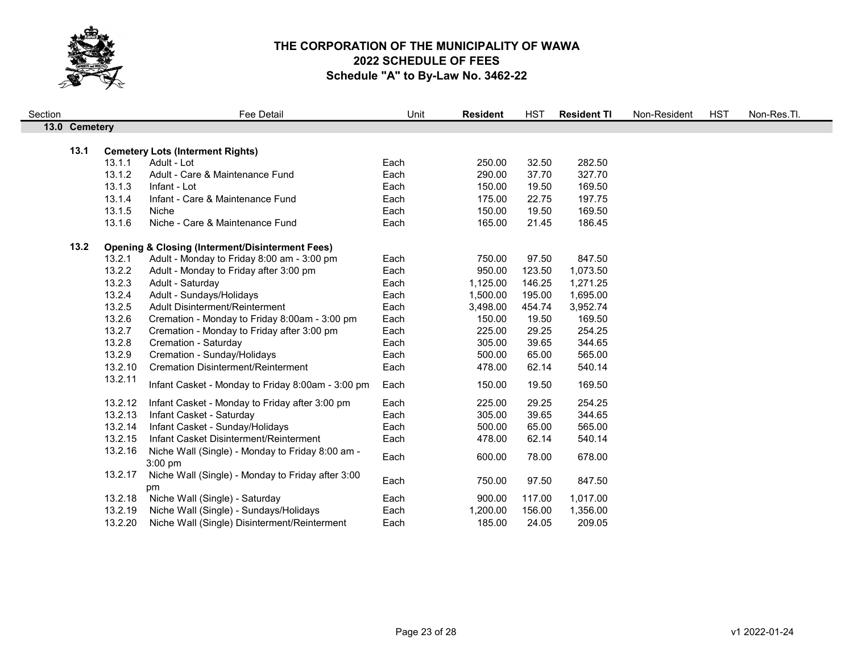

| Section |               |         | Fee Detail                                                  | Unit | <b>Resident</b> | <b>HST</b> | <b>Resident TI</b> | Non-Resident | <b>HST</b> | Non-Res.Tl. |  |
|---------|---------------|---------|-------------------------------------------------------------|------|-----------------|------------|--------------------|--------------|------------|-------------|--|
|         | 13.0 Cemetery |         |                                                             |      |                 |            |                    |              |            |             |  |
|         |               |         |                                                             |      |                 |            |                    |              |            |             |  |
|         | 13.1          |         | <b>Cemetery Lots (Interment Rights)</b>                     |      |                 |            |                    |              |            |             |  |
|         |               | 13.1.1  | Adult - Lot                                                 | Each | 250.00          | 32.50      | 282.50             |              |            |             |  |
|         |               | 13.1.2  | Adult - Care & Maintenance Fund                             | Each | 290.00          | 37.70      | 327.70             |              |            |             |  |
|         |               | 13.1.3  | Infant - Lot                                                | Each | 150.00          | 19.50      | 169.50             |              |            |             |  |
|         |               | 13.1.4  | Infant - Care & Maintenance Fund                            | Each | 175.00          | 22.75      | 197.75             |              |            |             |  |
|         |               | 13.1.5  | Niche                                                       | Each | 150.00          | 19.50      | 169.50             |              |            |             |  |
|         |               | 13.1.6  | Niche - Care & Maintenance Fund                             | Each | 165.00          | 21.45      | 186.45             |              |            |             |  |
|         | 13.2          |         | <b>Opening &amp; Closing (Interment/Disinterment Fees)</b>  |      |                 |            |                    |              |            |             |  |
|         |               | 13.2.1  | Adult - Monday to Friday 8:00 am - 3:00 pm                  | Each | 750.00          | 97.50      | 847.50             |              |            |             |  |
|         |               | 13.2.2  | Adult - Monday to Friday after 3:00 pm                      | Each | 950.00          | 123.50     | 1,073.50           |              |            |             |  |
|         |               | 13.2.3  | Adult - Saturday                                            | Each | 1,125.00        | 146.25     | 1,271.25           |              |            |             |  |
|         |               | 13.2.4  | Adult - Sundays/Holidays                                    | Each | 1,500.00        | 195.00     | 1,695.00           |              |            |             |  |
|         |               | 13.2.5  | Adult Disinterment/Reinterment                              | Each | 3,498.00        | 454.74     | 3,952.74           |              |            |             |  |
|         |               | 13.2.6  | Cremation - Monday to Friday 8:00am - 3:00 pm               | Each | 150.00          | 19.50      | 169.50             |              |            |             |  |
|         |               | 13.2.7  | Cremation - Monday to Friday after 3:00 pm                  | Each | 225.00          | 29.25      | 254.25             |              |            |             |  |
|         |               | 13.2.8  | Cremation - Saturday                                        | Each | 305.00          | 39.65      | 344.65             |              |            |             |  |
|         |               | 13.2.9  | Cremation - Sunday/Holidays                                 | Each | 500.00          | 65.00      | 565.00             |              |            |             |  |
|         |               | 13.2.10 | <b>Cremation Disinterment/Reinterment</b>                   | Each | 478.00          | 62.14      | 540.14             |              |            |             |  |
|         |               | 13.2.11 | Infant Casket - Monday to Friday 8:00am - 3:00 pm           | Each | 150.00          | 19.50      | 169.50             |              |            |             |  |
|         |               |         |                                                             |      |                 |            |                    |              |            |             |  |
|         |               | 13.2.12 | Infant Casket - Monday to Friday after 3:00 pm              | Each | 225.00          | 29.25      | 254.25             |              |            |             |  |
|         |               | 13.2.13 | Infant Casket - Saturday                                    | Each | 305.00          | 39.65      | 344.65             |              |            |             |  |
|         |               | 13.2.14 | Infant Casket - Sunday/Holidays                             | Each | 500.00          | 65.00      | 565.00             |              |            |             |  |
|         |               | 13.2.15 | Infant Casket Disinterment/Reinterment                      | Each | 478.00          | 62.14      | 540.14             |              |            |             |  |
|         |               | 13.2.16 | Niche Wall (Single) - Monday to Friday 8:00 am -<br>3:00 pm | Each | 600.00          | 78.00      | 678.00             |              |            |             |  |
|         |               | 13.2.17 | Niche Wall (Single) - Monday to Friday after 3:00<br>pm     | Each | 750.00          | 97.50      | 847.50             |              |            |             |  |
|         |               | 13.2.18 | Niche Wall (Single) - Saturday                              | Each | 900.00          | 117.00     | 1,017.00           |              |            |             |  |
|         |               | 13.2.19 | Niche Wall (Single) - Sundays/Holidays                      | Each | 1,200.00        | 156.00     | 1,356.00           |              |            |             |  |
|         |               | 13.2.20 | Niche Wall (Single) Disinterment/Reinterment                | Each | 185.00          | 24.05      | 209.05             |              |            |             |  |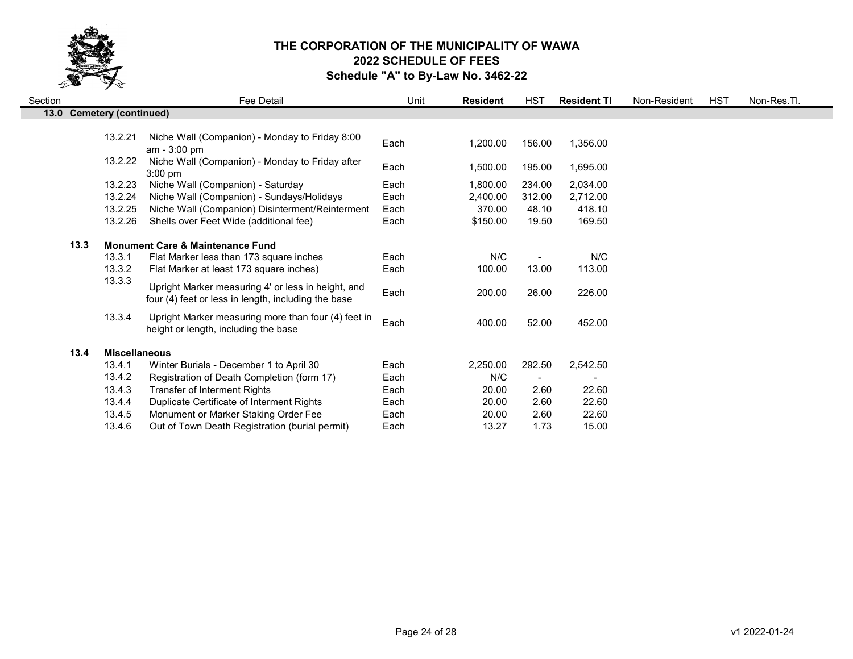

| Section |                             |         | Fee Detail                                                                                                | Unit | <b>Resident</b> | HST    | <b>Resident TI</b> | Non-Resident | HST | Non-Res.Tl. |
|---------|-----------------------------|---------|-----------------------------------------------------------------------------------------------------------|------|-----------------|--------|--------------------|--------------|-----|-------------|
| 13.0    | <b>Cemetery (continued)</b> |         |                                                                                                           |      |                 |        |                    |              |     |             |
|         |                             |         |                                                                                                           |      |                 |        |                    |              |     |             |
|         |                             | 13.2.21 | Niche Wall (Companion) - Monday to Friday 8:00<br>am - 3:00 pm                                            | Each | 1,200.00        | 156.00 | 1,356.00           |              |     |             |
|         |                             | 13.2.22 | Niche Wall (Companion) - Monday to Friday after<br>$3:00$ pm                                              | Each | 1,500.00        | 195.00 | 1,695.00           |              |     |             |
|         |                             | 13.2.23 | Niche Wall (Companion) - Saturday                                                                         | Each | 1,800.00        | 234.00 | 2,034.00           |              |     |             |
|         |                             | 13.2.24 | Niche Wall (Companion) - Sundays/Holidays                                                                 | Each | 2,400.00        | 312.00 | 2,712.00           |              |     |             |
|         |                             | 13.2.25 | Niche Wall (Companion) Disinterment/Reinterment                                                           | Each | 370.00          | 48.10  | 418.10             |              |     |             |
|         |                             | 13.2.26 | Shells over Feet Wide (additional fee)                                                                    | Each | \$150.00        | 19.50  | 169.50             |              |     |             |
|         | 13.3                        |         | <b>Monument Care &amp; Maintenance Fund</b>                                                               |      |                 |        |                    |              |     |             |
|         |                             | 13.3.1  | Flat Marker less than 173 square inches                                                                   | Each | N/C             |        | N/C                |              |     |             |
|         |                             | 13.3.2  | Flat Marker at least 173 square inches)                                                                   | Each | 100.00          | 13.00  | 113.00             |              |     |             |
|         |                             | 13.3.3  | Upright Marker measuring 4' or less in height, and<br>four (4) feet or less in length, including the base | Each | 200.00          | 26.00  | 226.00             |              |     |             |
|         |                             | 13.3.4  | Upright Marker measuring more than four (4) feet in<br>height or length, including the base               | Each | 400.00          | 52.00  | 452.00             |              |     |             |
|         | 13.4                        |         | <b>Miscellaneous</b>                                                                                      |      |                 |        |                    |              |     |             |
|         |                             | 13.4.1  | Winter Burials - December 1 to April 30                                                                   | Each | 2,250.00        | 292.50 | 2,542.50           |              |     |             |
|         |                             | 13.4.2  | Registration of Death Completion (form 17)                                                                | Each | N/C             |        |                    |              |     |             |
|         |                             | 13.4.3  | <b>Transfer of Interment Rights</b>                                                                       | Each | 20.00           | 2.60   | 22.60              |              |     |             |
|         |                             | 13.4.4  | Duplicate Certificate of Interment Rights                                                                 | Each | 20.00           | 2.60   | 22.60              |              |     |             |
|         |                             | 13.4.5  | Monument or Marker Staking Order Fee                                                                      | Each | 20.00           | 2.60   | 22.60              |              |     |             |
|         |                             | 13.4.6  | Out of Town Death Registration (burial permit)                                                            | Each | 13.27           | 1.73   | 15.00              |              |     |             |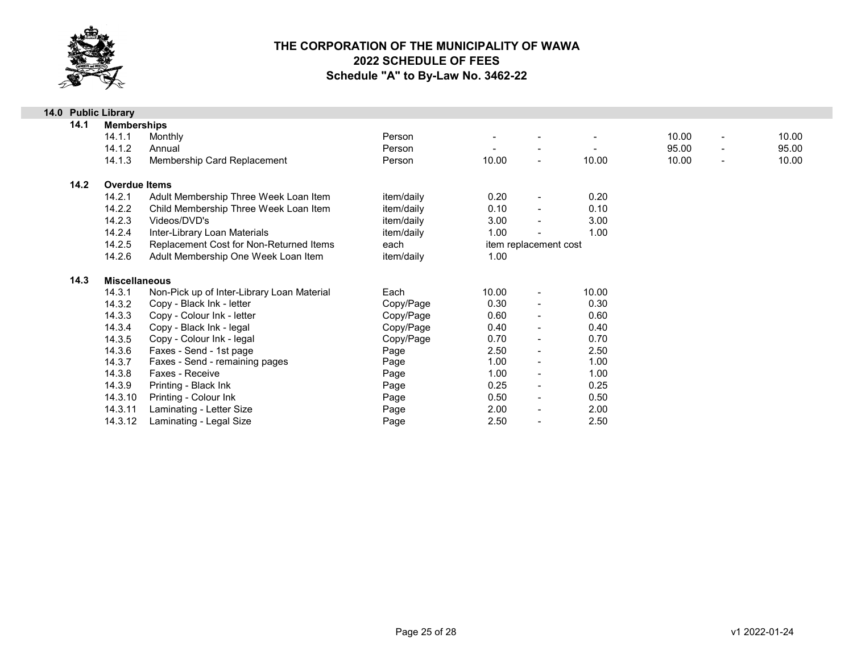

|                            | 14.0 Public Library  |                                            |            |       |                          |       |       |                          |       |
|----------------------------|----------------------|--------------------------------------------|------------|-------|--------------------------|-------|-------|--------------------------|-------|
| 14.1<br><b>Memberships</b> |                      |                                            |            |       |                          |       |       |                          |       |
|                            | 14.1.1               | Monthly                                    | Person     |       |                          |       | 10.00 | $\overline{\phantom{a}}$ | 10.00 |
|                            | 14.1.2               | Annual                                     | Person     |       |                          |       | 95.00 | $\overline{\phantom{0}}$ | 95.00 |
|                            | 14.1.3               | Membership Card Replacement                | Person     | 10.00 | $\blacksquare$           | 10.00 | 10.00 | $\overline{a}$           | 10.00 |
| 14.2                       | <b>Overdue Items</b> |                                            |            |       |                          |       |       |                          |       |
|                            | 14.2.1               | Adult Membership Three Week Loan Item      | item/daily | 0.20  | $\overline{\phantom{a}}$ | 0.20  |       |                          |       |
|                            | 14.2.2               | Child Membership Three Week Loan Item      | item/daily | 0.10  | $\blacksquare$           | 0.10  |       |                          |       |
|                            | 14.2.3               | Videos/DVD's                               | item/daily | 3.00  | $\overline{\phantom{a}}$ | 3.00  |       |                          |       |
|                            | 14.2.4               | Inter-Library Loan Materials               | item/daily | 1.00  |                          | 1.00  |       |                          |       |
|                            | 14.2.5               | Replacement Cost for Non-Returned Items    | each       |       | item replacement cost    |       |       |                          |       |
|                            | 14.2.6               | Adult Membership One Week Loan Item        | item/daily | 1.00  |                          |       |       |                          |       |
| 14.3                       | <b>Miscellaneous</b> |                                            |            |       |                          |       |       |                          |       |
|                            | 14.3.1               | Non-Pick up of Inter-Library Loan Material | Each       | 10.00 | $\blacksquare$           | 10.00 |       |                          |       |
|                            | 14.3.2               | Copy - Black Ink - letter                  | Copy/Page  | 0.30  | $\overline{\phantom{a}}$ | 0.30  |       |                          |       |
|                            | 14.3.3               | Copy - Colour Ink - letter                 | Copy/Page  | 0.60  | $\blacksquare$           | 0.60  |       |                          |       |
|                            | 14.3.4               | Copy - Black Ink - legal                   | Copy/Page  | 0.40  | $\blacksquare$           | 0.40  |       |                          |       |
|                            | 14.3.5               | Copy - Colour Ink - legal                  | Copy/Page  | 0.70  | $\blacksquare$           | 0.70  |       |                          |       |
|                            | 14.3.6               | Faxes - Send - 1st page                    | Page       | 2.50  | $\blacksquare$           | 2.50  |       |                          |       |
|                            | 14.3.7               | Faxes - Send - remaining pages             | Page       | 1.00  | $\blacksquare$           | 1.00  |       |                          |       |
|                            | 14.3.8               | Faxes - Receive                            | Page       | 1.00  | $\blacksquare$           | 1.00  |       |                          |       |
|                            | 14.3.9               | Printing - Black Ink                       | Page       | 0.25  | $\blacksquare$           | 0.25  |       |                          |       |
|                            | 14.3.10              | Printing - Colour Ink                      | Page       | 0.50  | $\blacksquare$           | 0.50  |       |                          |       |
|                            | 14.3.11              | Laminating - Letter Size                   | Page       | 2.00  | $\blacksquare$           | 2.00  |       |                          |       |
|                            | 14.3.12              | Laminating - Legal Size                    | Page       | 2.50  |                          | 2.50  |       |                          |       |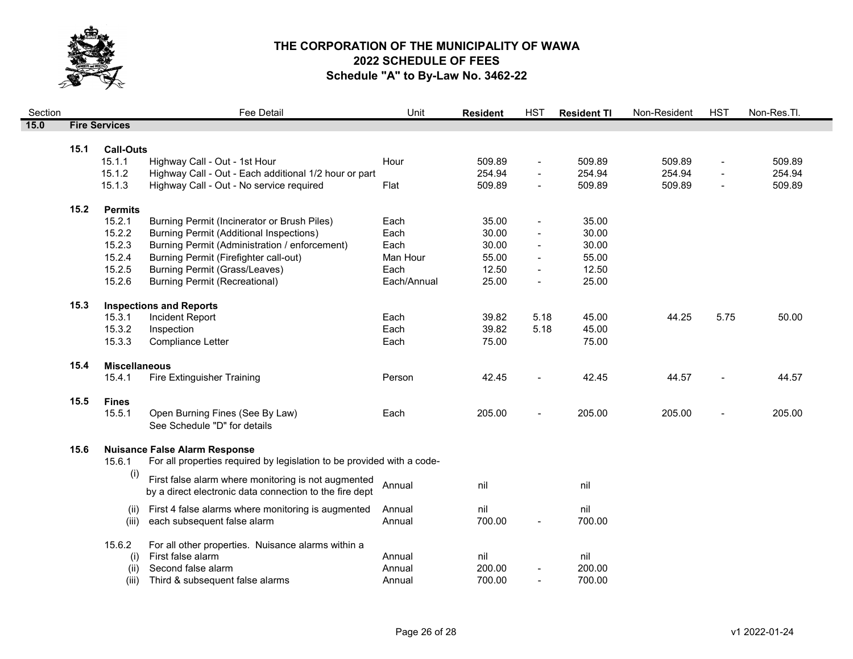

| 509.89<br>$\overline{\phantom{a}}$<br>254.94<br>$\sim$<br>509.89<br>$\overline{\phantom{a}}$ |
|----------------------------------------------------------------------------------------------|
|                                                                                              |
|                                                                                              |
|                                                                                              |
|                                                                                              |
|                                                                                              |
|                                                                                              |
|                                                                                              |
|                                                                                              |
|                                                                                              |
|                                                                                              |
|                                                                                              |
|                                                                                              |
|                                                                                              |
|                                                                                              |
|                                                                                              |
| 5.75<br>50.00                                                                                |
|                                                                                              |
|                                                                                              |
|                                                                                              |
| 44.57                                                                                        |
|                                                                                              |
| 205.00                                                                                       |
|                                                                                              |
|                                                                                              |
|                                                                                              |
|                                                                                              |
|                                                                                              |
|                                                                                              |
|                                                                                              |
|                                                                                              |
|                                                                                              |
|                                                                                              |
|                                                                                              |
|                                                                                              |
|                                                                                              |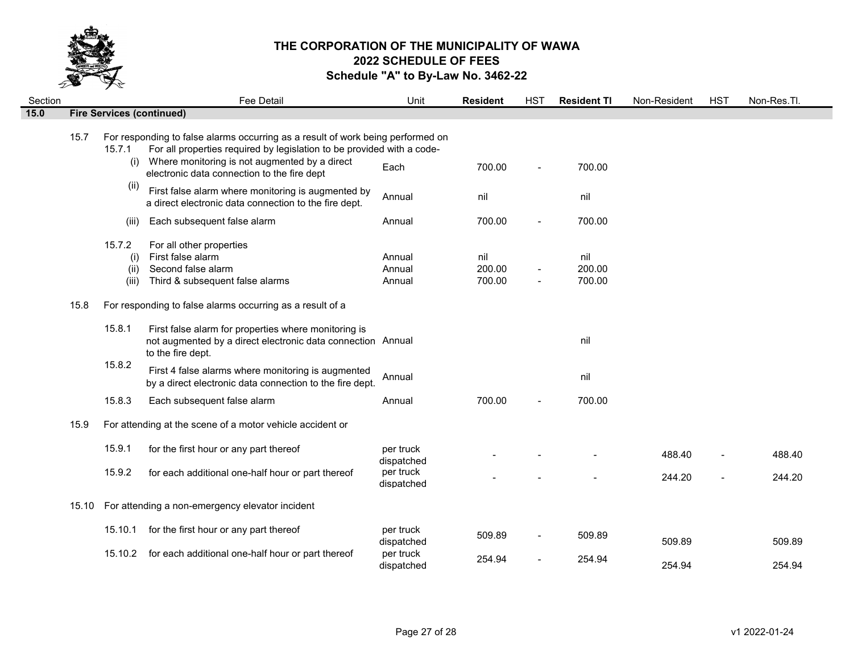

| Section |       |                                | Fee Detail                                                                                                                                                                                                                                                | Unit                       | <b>Resident</b>         | <b>HST</b>               | <b>Resident TI</b>      | Non-Resident | <b>HST</b> | Non-Res.Tl. |
|---------|-------|--------------------------------|-----------------------------------------------------------------------------------------------------------------------------------------------------------------------------------------------------------------------------------------------------------|----------------------------|-------------------------|--------------------------|-------------------------|--------------|------------|-------------|
| 15.0    |       |                                | <b>Fire Services (continued)</b>                                                                                                                                                                                                                          |                            |                         |                          |                         |              |            |             |
|         | 15.7  | 15.7.1<br>(i)                  | For responding to false alarms occurring as a result of work being performed on<br>For all properties required by legislation to be provided with a code-<br>Where monitoring is not augmented by a direct<br>electronic data connection to the fire dept | Each                       | 700.00                  | $\blacksquare$           | 700.00                  |              |            |             |
|         |       | (ii)                           | First false alarm where monitoring is augmented by<br>a direct electronic data connection to the fire dept.                                                                                                                                               | Annual                     | nil                     |                          | nil                     |              |            |             |
|         |       | (iii)                          | Each subsequent false alarm                                                                                                                                                                                                                               | Annual                     | 700.00                  |                          | 700.00                  |              |            |             |
|         |       | 15.7.2<br>(i)<br>(ii)<br>(iii) | For all other properties<br>First false alarm<br>Second false alarm<br>Third & subsequent false alarms                                                                                                                                                    | Annual<br>Annual<br>Annual | nil<br>200.00<br>700.00 | $\blacksquare$           | nil<br>200.00<br>700.00 |              |            |             |
|         | 15.8  |                                | For responding to false alarms occurring as a result of a                                                                                                                                                                                                 |                            |                         |                          |                         |              |            |             |
|         |       | 15.8.1                         | First false alarm for properties where monitoring is<br>not augmented by a direct electronic data connection Annual<br>to the fire dept.                                                                                                                  |                            |                         |                          | nil                     |              |            |             |
|         |       | 15.8.2                         | First 4 false alarms where monitoring is augmented<br>by a direct electronic data connection to the fire dept.                                                                                                                                            | Annual                     |                         |                          | nil                     |              |            |             |
|         |       | 15.8.3                         | Each subsequent false alarm                                                                                                                                                                                                                               | Annual                     | 700.00                  |                          | 700.00                  |              |            |             |
|         | 15.9  |                                | For attending at the scene of a motor vehicle accident or                                                                                                                                                                                                 |                            |                         |                          |                         |              |            |             |
|         |       | 15.9.1                         | for the first hour or any part thereof                                                                                                                                                                                                                    | per truck<br>dispatched    |                         |                          |                         | 488.40       |            | 488.40      |
|         |       | 15.9.2                         | for each additional one-half hour or part thereof                                                                                                                                                                                                         | per truck<br>dispatched    |                         |                          |                         | 244.20       |            | 244.20      |
|         | 15.10 |                                | For attending a non-emergency elevator incident                                                                                                                                                                                                           |                            |                         |                          |                         |              |            |             |
|         |       | 15.10.1                        | for the first hour or any part thereof                                                                                                                                                                                                                    | per truck<br>dispatched    | 509.89                  | $\overline{\phantom{a}}$ | 509.89                  | 509.89       |            | 509.89      |
|         |       |                                | 15.10.2 for each additional one-half hour or part thereof                                                                                                                                                                                                 | per truck<br>dispatched    | 254.94                  |                          | 254.94                  | 254.94       |            | 254.94      |